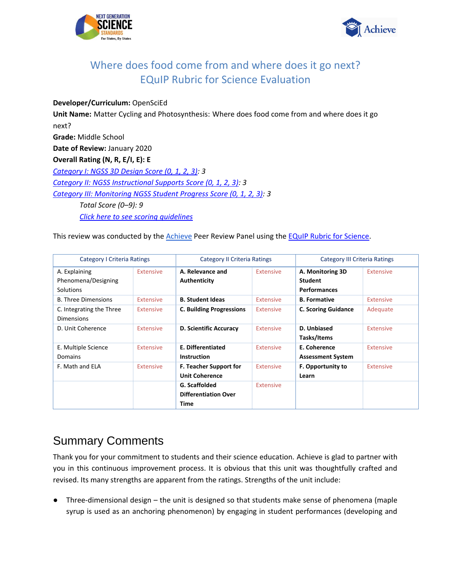



### **Developer/Curriculum:** OpenSciEd

**Unit Name:** Matter Cycling and Photosynthesis: Where does food come from and where does it go next? **Grade:** Middle School **Date of Review:** January 2020 **Overall Rating (N, R, E/I, E): E** *[Category I: NGSS 3D Design Score \(0, 1, 2, 3\):](#page-2-0) 3 [Category II: NGSS Instructional Supports Score \(0, 1, 2, 3\):](#page-21-0) 3 [Category III: Monitoring NGSS Student Progress Score \(0, 1, 2, 3\):](#page-41-0) 3 Total Score (0–9): 9 [Click here to see scoring guidelines](#page-53-0)*

This review was conducted by the [Achieve](https://www.achieve.org/) Peer Review Panel using th[e EQuIP Rubric for Science.](https://nextgenscience.org/sites/default/files/EQuIPRubricforSciencev3.pdf)

| <b>Category I Criteria Ratings</b> |                  | <b>Category II Criteria Ratings</b> |                  | <b>Category III Criteria Ratings</b> |                  |
|------------------------------------|------------------|-------------------------------------|------------------|--------------------------------------|------------------|
| A. Explaining                      | <b>Extensive</b> | A. Relevance and                    | Extensive        | A. Monitoring 3D                     | <b>Extensive</b> |
| Phenomena/Designing                |                  | Authenticity                        |                  | <b>Student</b>                       |                  |
| <b>Solutions</b>                   |                  |                                     |                  | <b>Performances</b>                  |                  |
| <b>B. Three Dimensions</b>         | <b>Extensive</b> | <b>B. Student Ideas</b>             | Extensive        | <b>B.</b> Formative                  | Extensive        |
| C. Integrating the Three           | <b>Extensive</b> | <b>C. Building Progressions</b>     | <b>Extensive</b> | <b>C. Scoring Guidance</b>           | Adequate         |
| <b>Dimensions</b>                  |                  |                                     |                  |                                      |                  |
| D. Unit Coherence                  | <b>Extensive</b> | <b>D. Scientific Accuracy</b>       | <b>Extensive</b> | D. Unbiased                          | <b>Extensive</b> |
|                                    |                  |                                     |                  | Tasks/Items                          |                  |
| E. Multiple Science                | <b>Extensive</b> | E. Differentiated                   | <b>Extensive</b> | E. Coherence                         | Extensive        |
| Domains                            |                  | <b>Instruction</b>                  |                  | <b>Assessment System</b>             |                  |
| F. Math and ELA                    | Extensive        | <b>F. Teacher Support for</b>       | <b>Extensive</b> | <b>F. Opportunity to</b>             | <b>Extensive</b> |
|                                    |                  | <b>Unit Coherence</b>               |                  | Learn                                |                  |
|                                    |                  | G. Scaffolded                       | <b>Extensive</b> |                                      |                  |
|                                    |                  | <b>Differentiation Over</b>         |                  |                                      |                  |
|                                    |                  | Time                                |                  |                                      |                  |

# Summary Comments

Thank you for your commitment to students and their science education. Achieve is glad to partner with you in this continuous improvement process. It is obvious that this unit was thoughtfully crafted and revised. Its many strengths are apparent from the ratings. Strengths of the unit include:

● Three-dimensional design – the unit is designed so that students make sense of phenomena (maple syrup is used as an anchoring phenomenon) by engaging in student performances (developing and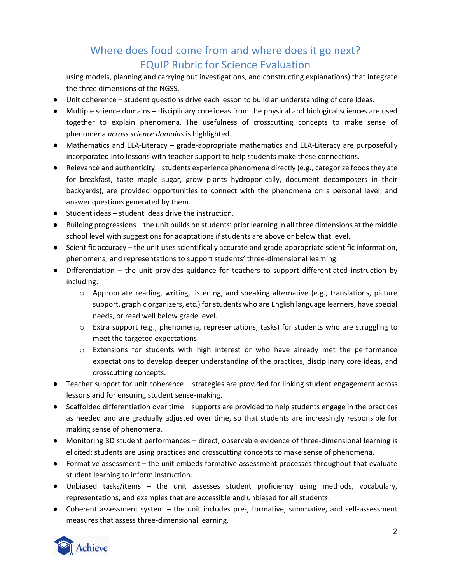using models, planning and carrying out investigations, and constructing explanations) that integrate the three dimensions of the NGSS.

- Unit coherence student questions drive each lesson to build an understanding of core ideas.
- Multiple science domains disciplinary core ideas from the physical and biological sciences are used together to explain phenomena. The usefulness of crosscutting concepts to make sense of phenomena *across science domains* is highlighted.
- Mathematics and ELA-Literacy grade-appropriate mathematics and ELA-Literacy are purposefully incorporated into lessons with teacher support to help students make these connections.
- Relevance and authenticity students experience phenomena directly (e.g., categorize foods they ate for breakfast, taste maple sugar, grow plants hydroponically, document decomposers in their backyards), are provided opportunities to connect with the phenomena on a personal level, and answer questions generated by them.
- Student ideas student ideas drive the instruction.
- Building progressions the unit builds on students' prior learning in all three dimensions at the middle school level with suggestions for adaptations if students are above or below that level.
- Scientific accuracy the unit uses scientifically accurate and grade-appropriate scientific information, phenomena, and representations to support students' three-dimensional learning.
- Differentiation the unit provides guidance for teachers to support differentiated instruction by including:
	- $\circ$  Appropriate reading, writing, listening, and speaking alternative (e.g., translations, picture support, graphic organizers, etc.) for students who are English language learners, have special needs, or read well below grade level.
	- $\circ$  Extra support (e.g., phenomena, representations, tasks) for students who are struggling to meet the targeted expectations.
	- $\circ$  Extensions for students with high interest or who have already met the performance expectations to develop deeper understanding of the practices, disciplinary core ideas, and crosscutting concepts.
- Teacher support for unit coherence strategies are provided for linking student engagement across lessons and for ensuring student sense-making.
- Scaffolded differentiation over time supports are provided to help students engage in the practices as needed and are gradually adjusted over time, so that students are increasingly responsible for making sense of phenomena.
- Monitoring 3D student performances direct, observable evidence of three-dimensional learning is elicited; students are using practices and crosscutting concepts to make sense of phenomena.
- Formative assessment the unit embeds formative assessment processes throughout that evaluate student learning to inform instruction.
- Unbiased tasks/items the unit assesses student proficiency using methods, vocabulary, representations, and examples that are accessible and unbiased for all students.
- Coherent assessment system the unit includes pre-, formative, summative, and self-assessment measures that assess three-dimensional learning.

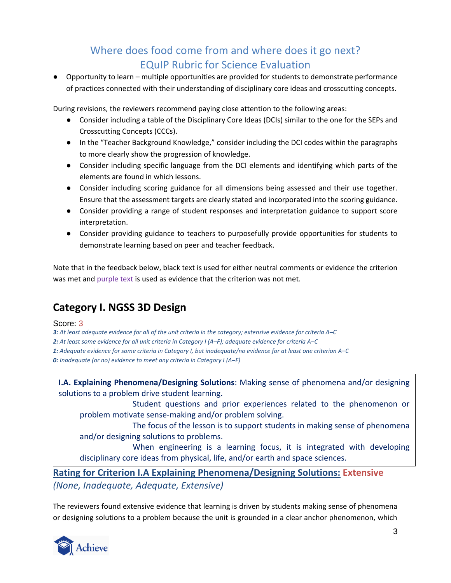● Opportunity to learn – multiple opportunities are provided for students to demonstrate performance of practices connected with their understanding of disciplinary core ideas and crosscutting concepts.

During revisions, the reviewers recommend paying close attention to the following areas:

- Consider including a table of the Disciplinary Core Ideas (DCIs) similar to the one for the SEPs and Crosscutting Concepts (CCCs).
- In the "Teacher Background Knowledge," consider including the DCI codes within the paragraphs to more clearly show the progression of knowledge.
- Consider including specific language from the DCI elements and identifying which parts of the elements are found in which lessons.
- Consider including scoring guidance for all dimensions being assessed and their use together. Ensure that the assessment targets are clearly stated and incorporated into the scoring guidance.
- Consider providing a range of student responses and interpretation guidance to support score interpretation.
- Consider providing guidance to teachers to purposefully provide opportunities for students to demonstrate learning based on peer and teacher feedback.

<span id="page-2-0"></span>Note that in the feedback below, black text is used for either neutral comments or evidence the criterion was met and purple text is used as evidence that the criterion was not met.

# **Category I. NGSS 3D Design**

### Score: 3

*3: At least adequate evidence for all of the unit criteria in the category; extensive evidence for criteria A–C 2: At least some evidence for all unit criteria in Category I (A–F); adequate evidence for criteria A–C 1: Adequate evidence for some criteria in Category I, but inadequate/no evidence for at least one criterion A–C 0: Inadequate (or no) evidence to meet any criteria in Category I (A–F)*

**I.A. Explaining Phenomena/Designing Solutions**: Making sense of phenomena and/or designing solutions to a problem drive student learning.

Student questions and prior experiences related to the phenomenon or problem motivate sense-making and/or problem solving.

The focus of the lesson is to support students in making sense of phenomena and/or designing solutions to problems.

When engineering is a learning focus, it is integrated with developing disciplinary core ideas from physical, life, and/or earth and space sciences.

**Rating for Criterion I.A Explaining Phenomena/Designing Solutions: Extensive** *(None, Inadequate, Adequate, Extensive)*

The reviewers found extensive evidence that learning is driven by students making sense of phenomena or designing solutions to a problem because the unit is grounded in a clear anchor phenomenon, which

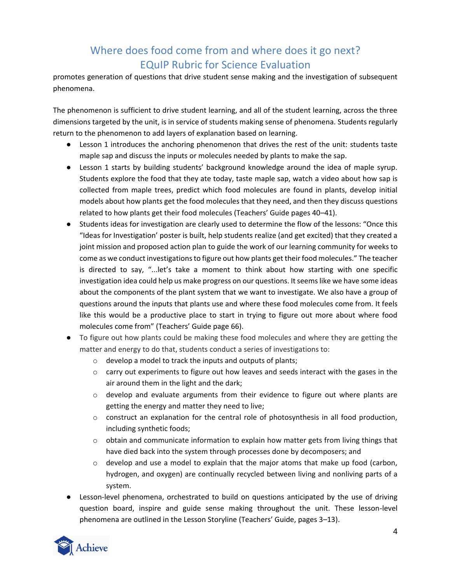promotes generation of questions that drive student sense making and the investigation of subsequent phenomena.

The phenomenon is sufficient to drive student learning, and all of the student learning, across the three dimensions targeted by the unit, is in service of students making sense of phenomena. Students regularly return to the phenomenon to add layers of explanation based on learning.

- Lesson 1 introduces the anchoring phenomenon that drives the rest of the unit: students taste maple sap and discuss the inputs or molecules needed by plants to make the sap.
- Lesson 1 starts by building students' background knowledge around the idea of maple syrup. Students explore the food that they ate today, taste maple sap, watch a video about how sap is collected from maple trees, predict which food molecules are found in plants, develop initial models about how plants get the food molecules that they need, and then they discuss questions related to how plants get their food molecules (Teachers' Guide pages 40*–*41).
- Students ideas for investigation are clearly used to determine the flow of the lessons: "Once this "Ideas for Investigation' poster is built, help students realize (and get excited) that they created a joint mission and proposed action plan to guide the work of our learning community for weeks to come as we conduct investigations to figure out how plants get their food molecules." The teacher is directed to say, "...let's take a moment to think about how starting with one specific investigation idea could help us make progress on our questions. It seems like we have some ideas about the components of the plant system that we want to investigate. We also have a group of questions around the inputs that plants use and where these food molecules come from. It feels like this would be a productive place to start in trying to figure out more about where food molecules come from" (Teachers' Guide page 66).
- To figure out how plants could be making these food molecules and where they are getting the matter and energy to do that, students conduct a series of investigations to:
	- o develop a model to track the inputs and outputs of plants;
	- o carry out experiments to figure out how leaves and seeds interact with the gases in the air around them in the light and the dark;
	- $\circ$  develop and evaluate arguments from their evidence to figure out where plants are getting the energy and matter they need to live;
	- $\circ$  construct an explanation for the central role of photosynthesis in all food production, including synthetic foods;
	- $\circ$  obtain and communicate information to explain how matter gets from living things that have died back into the system through processes done by decomposers; and
	- $\circ$  develop and use a model to explain that the major atoms that make up food (carbon, hydrogen, and oxygen) are continually recycled between living and nonliving parts of a system.
- Lesson-level phenomena, orchestrated to build on questions anticipated by the use of driving question board, inspire and guide sense making throughout the unit. These lesson-level phenomena are outlined in the Lesson Storyline (Teachers' Guide, pages 3*–*13).

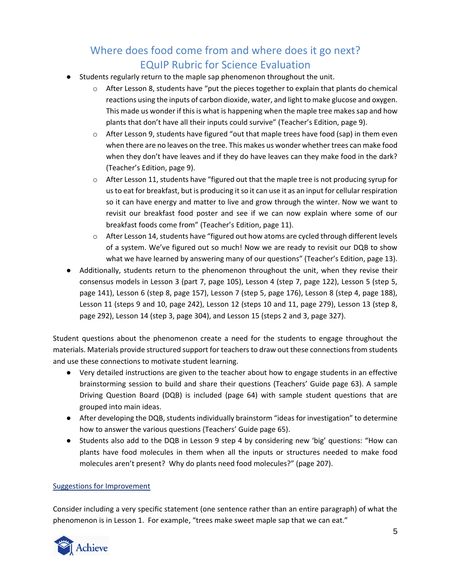- Students regularly return to the maple sap phenomenon throughout the unit.
	- o After Lesson 8, students have "put the pieces together to explain that plants do chemical reactions using the inputs of carbon dioxide, water, and light to make glucose and oxygen. This made us wonder if this is what is happening when the maple tree makes sap and how plants that don't have all their inputs could survive" (Teacher's Edition, page 9).
	- $\circ$  After Lesson 9, students have figured "out that maple trees have food (sap) in them even when there are no leaves on the tree. This makes us wonder whether trees can make food when they don't have leaves and if they do have leaves can they make food in the dark? (Teacher's Edition, page 9).
	- o After Lesson 11, students have "figured out that the maple tree is not producing syrup for us to eat for breakfast, but is producing it so it can use it as an input for cellular respiration so it can have energy and matter to live and grow through the winter. Now we want to revisit our breakfast food poster and see if we can now explain where some of our breakfast foods come from" (Teacher's Edition, page 11).
	- $\circ$  After Lesson 14, students have "figured out how atoms are cycled through different levels of a system. We've figured out so much! Now we are ready to revisit our DQB to show what we have learned by answering many of our questions" (Teacher's Edition, page 13).
- Additionally, students return to the phenomenon throughout the unit, when they revise their consensus models in Lesson 3 (part 7, page 105), Lesson 4 (step 7, page 122), Lesson 5 (step 5, page 141), Lesson 6 (step 8, page 157), Lesson 7 (step 5, page 176), Lesson 8 (step 4, page 188), Lesson 11 (steps 9 and 10, page 242), Lesson 12 (steps 10 and 11, page 279), Lesson 13 (step 8, page 292), Lesson 14 (step 3, page 304), and Lesson 15 (steps 2 and 3, page 327).

Student questions about the phenomenon create a need for the students to engage throughout the materials. Materials provide structured support for teachers to draw out these connections from students and use these connections to motivate student learning.

- Very detailed instructions are given to the teacher about how to engage students in an effective brainstorming session to build and share their questions (Teachers' Guide page 63). A sample Driving Question Board (DQB) is included (page 64) with sample student questions that are grouped into main ideas.
- After developing the DQB, students individually brainstorm "ideas for investigation" to determine how to answer the various questions (Teachers' Guide page 65).
- Students also add to the DQB in Lesson 9 step 4 by considering new 'big' questions: "How can plants have food molecules in them when all the inputs or structures needed to make food molecules aren't present? Why do plants need food molecules?" (page 207).

### Suggestions for Improvement

Consider including a very specific statement (one sentence rather than an entire paragraph) of what the phenomenon is in Lesson 1. For example, "trees make sweet maple sap that we can eat."

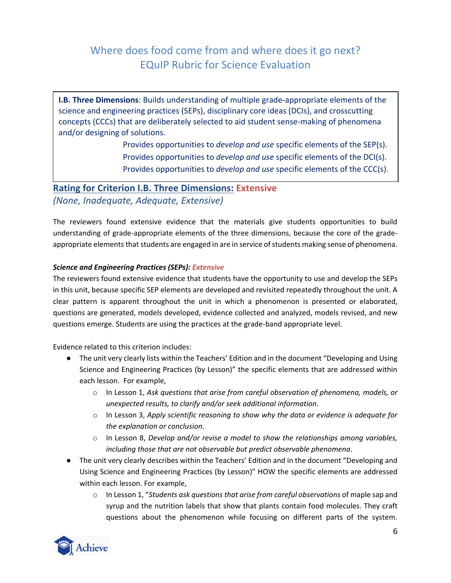**I.B. Three Dimensions**: Builds understanding of multiple grade-appropriate elements of the science and engineering practices (SEPs), disciplinary core ideas (DCIs), and crosscutting concepts (CCCs) that are deliberately selected to aid student sense-making of phenomena and/or designing of solutions.

> Provides opportunities to *develop and use* specific elements of the SEP(s). Provides opportunities to *develop and use* specific elements of the DCI(s). Provides opportunities to *develop and use* specific elements of the CCC(s).

## **Rating for Criterion I.B. Three Dimensions: Extensive** *(None, Inadequate, Adequate, Extensive)*

The reviewers found extensive evidence that the materials give students opportunities to build understanding of grade-appropriate elements of the three dimensions, because the core of the gradeappropriate elements that students are engaged in are in service of students making sense of phenomena.

### *Science and Engineering Practices (SEPs): Extensive*

The reviewers found extensive evidence that students have the opportunity to use and develop the SEPs in this unit, because specific SEP elements are developed and revisited repeatedly throughout the unit. A clear pattern is apparent throughout the unit in which a phenomenon is presented or elaborated, questions are generated, models developed, evidence collected and analyzed, models revised, and new questions emerge. Students are using the practices at the grade-band appropriate level.

Evidence related to this criterion includes:

- The unit very clearly lists within the Teachers' Edition and in the document "Developing and Using Science and Engineering Practices (by Lesson)" the specific elements that are addressed within each lesson. For example,
	- o In Lesson 1, *Ask questions that arise from careful observation of phenomena, models, or unexpected results, to clarify and/or seek additional information*.
	- o In Lesson 3, *Apply scientific reasoning to show why the data or evidence is adequate for the explanation or conclusion.*
	- o In Lesson 8, *Develop and/or revise a model to show the relationships among variables, including those that are not observable but predict observable phenomena*.
- The unit very clearly describes within the Teachers' Edition and in the document "Developing and Using Science and Engineering Practices (by Lesson)" HOW the specific elements are addressed within each lesson. For example,
	- o In Lesson 1, "*Students ask questions that arise from careful observations* of maple sap and syrup and the nutrition labels that show that plants contain food molecules. They craft questions about the phenomenon while focusing on different parts of the system.

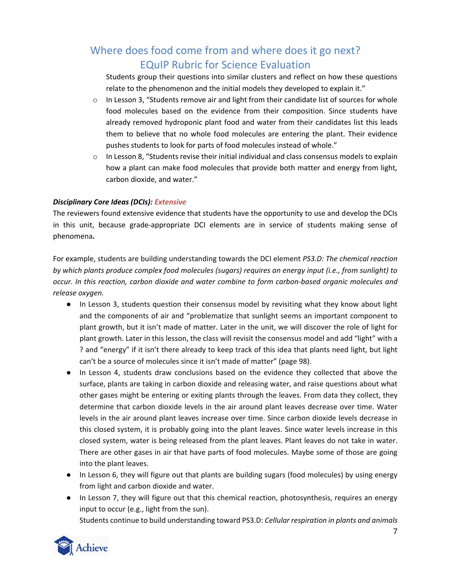Students group their questions into similar clusters and reflect on how these questions relate to the phenomenon and the initial models they developed to explain it."

- $\circ$  In Lesson 3, "Students remove air and light from their candidate list of sources for whole food molecules based on the evidence from their composition. Since students have already removed hydroponic plant food and water from their candidates list this leads them to believe that no whole food molecules are entering the plant. Their evidence pushes students to look for parts of food molecules instead of whole."
- $\circ$  In Lesson 8, "Students revise their initial individual and class consensus models to explain how a plant can make food molecules that provide both matter and energy from light, carbon dioxide, and water."

### *Disciplinary Core Ideas (DCIs): Extensive*

The reviewers found extensive evidence that students have the opportunity to use and develop the DCIs in this unit, because grade-appropriate DCI elements are in service of students making sense of phenomena**.**

For example, students are building understanding towards the DCI element *PS3.D: The chemical reaction by which plants produce complex food molecules (sugars) requires an energy input (i.e., from sunlight) to occur. In this reaction, carbon dioxide and water combine to form carbon-based organic molecules and release oxygen.*

- In Lesson 3, students question their consensus model by revisiting what they know about light and the components of air and "problematize that sunlight seems an important component to plant growth, but it isn't made of matter. Later in the unit, we will discover the role of light for plant growth. Later in this lesson, the class will revisit the consensus model and add "light" with a ? and "energy" if it isn't there already to keep track of this idea that plants need light, but light can't be a source of molecules since it isn't made of matter" (page 98).
- In Lesson 4, students draw conclusions based on the evidence they collected that above the surface, plants are taking in carbon dioxide and releasing water, and raise questions about what other gases might be entering or exiting plants through the leaves. From data they collect, they determine that carbon dioxide levels in the air around plant leaves decrease over time. Water levels in the air around plant leaves increase over time. Since carbon dioxide levels decrease in this closed system, it is probably going into the plant leaves. Since water levels increase in this closed system, water is being released from the plant leaves. Plant leaves do not take in water. There are other gases in air that have parts of food molecules. Maybe some of those are going into the plant leaves.
- In Lesson 6, they will figure out that plants are building sugars (food molecules) by using energy from light and carbon dioxide and water.
- In Lesson 7, they will figure out that this chemical reaction, photosynthesis, requires an energy input to occur (e.g., light from the sun).

Students continue to build understanding toward PS3.D: *Cellular respiration in plants and animals* 

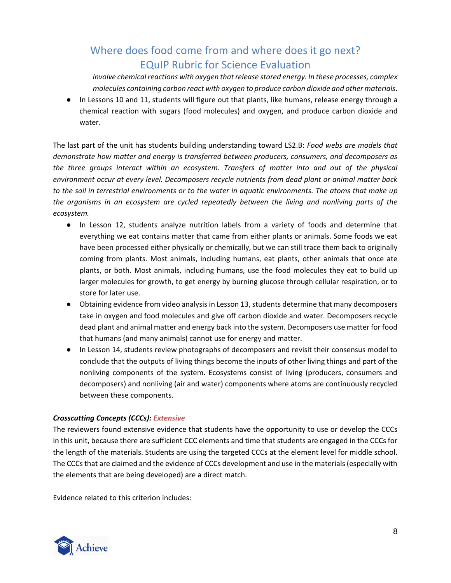*involve chemical reactions with oxygen that release stored energy. In these processes, complex molecules containing carbon react with oxygen to produce carbon dioxide and other materials*.

● In Lessons 10 and 11, students will figure out that plants, like humans, release energy through a chemical reaction with sugars (food molecules) and oxygen, and produce carbon dioxide and water.

The last part of the unit has students building understanding toward LS2.B: *Food webs are models that demonstrate how matter and energy is transferred between producers, consumers, and decomposers as the three groups interact within an ecosystem. Transfers of matter into and out of the physical environment occur at every level. Decomposers recycle nutrients from dead plant or animal matter back to the soil in terrestrial environments or to the water in aquatic environments. The atoms that make up the organisms in an ecosystem are cycled repeatedly between the living and nonliving parts of the ecosystem.*

- In Lesson 12, students analyze nutrition labels from a variety of foods and determine that everything we eat contains matter that came from either plants or animals. Some foods we eat have been processed either physically or chemically, but we can still trace them back to originally coming from plants. Most animals, including humans, eat plants, other animals that once ate plants, or both. Most animals, including humans, use the food molecules they eat to build up larger molecules for growth, to get energy by burning glucose through cellular respiration, or to store for later use.
- Obtaining evidence from video analysis in Lesson 13, students determine that many decomposers take in oxygen and food molecules and give off carbon dioxide and water. Decomposers recycle dead plant and animal matter and energy back into the system. Decomposers use matter for food that humans (and many animals) cannot use for energy and matter.
- In Lesson 14, students review photographs of decomposers and revisit their consensus model to conclude that the outputs of living things become the inputs of other living things and part of the nonliving components of the system. Ecosystems consist of living (producers, consumers and decomposers) and nonliving (air and water) components where atoms are continuously recycled between these components.

### *Crosscutting Concepts (CCCs): Extensive*

The reviewers found extensive evidence that students have the opportunity to use or develop the CCCs in this unit, because there are sufficient CCC elements and time that students are engaged in the CCCs for the length of the materials. Students are using the targeted CCCs at the element level for middle school. The CCCs that are claimed and the evidence of CCCs development and use in the materials (especially with the elements that are being developed) are a direct match.

Evidence related to this criterion includes:

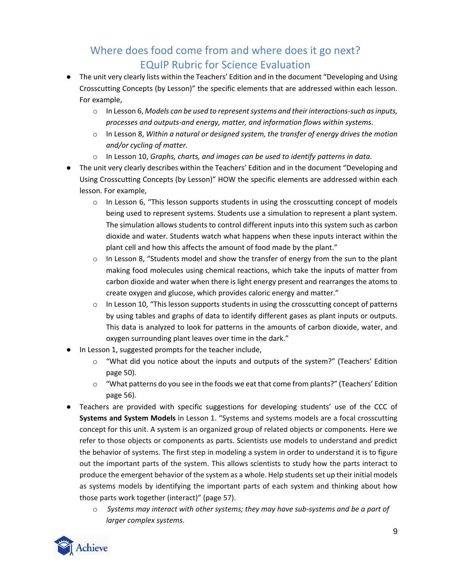- The unit very clearly lists within the Teachers' Edition and in the document "Developing and Using Crosscutting Concepts (by Lesson)" the specific elements that are addressed within each lesson. For example,
	- o In Lesson 6, *Models can be used to represent systems and their interactions-such as inputs, processes and outputs-and energy, matter, and information flows within systems.*
	- o In Lesson 8, *Within a natural or designed system, the transfer of energy drives the motion and/or cycling of matter.*
	- o In Lesson 10, *Graphs, charts, and images can be used to identify patterns in data.*
- The unit very clearly describes within the Teachers' Edition and in the document "Developing and Using Crosscutting Concepts (by Lesson)" HOW the specific elements are addressed within each lesson. For example,
	- $\circ$  In Lesson 6, "This lesson supports students in using the crosscutting concept of models being used to represent systems. Students use a simulation to represent a plant system. The simulation allows students to control different inputs into this system such as carbon dioxide and water. Students watch what happens when these inputs interact within the plant cell and how this affects the amount of food made by the plant."
	- $\circ$  In Lesson 8, "Students model and show the transfer of energy from the sun to the plant making food molecules using chemical reactions, which take the inputs of matter from carbon dioxide and water when there is light energy present and rearranges the atoms to create oxygen and glucose, which provides caloric energy and matter."
	- $\circ$  In Lesson 10, "This lesson supports students in using the crosscutting concept of patterns by using tables and graphs of data to identify different gases as plant inputs or outputs. This data is analyzed to look for patterns in the amounts of carbon dioxide, water, and oxygen surrounding plant leaves over time in the dark."
- In Lesson 1, suggested prompts for the teacher include,
	- $\circ$  "What did you notice about the inputs and outputs of the system?" (Teachers' Edition page 50).
	- o "What patterns do you see in the foods we eat that come from plants?" (Teachers' Edition page 56).
- Teachers are provided with specific suggestions for developing students' use of the CCC of **Systems and System Models** in Lesson 1. "Systems and systems models are a focal crosscutting concept for this unit. A system is an organized group of related objects or components. Here we refer to those objects or components as parts. Scientists use models to understand and predict the behavior of systems. The first step in modeling a system in order to understand it is to figure out the important parts of the system. This allows scientists to study how the parts interact to produce the emergent behavior of the system as a whole. Help students set up their initial models as systems models by identifying the important parts of each system and thinking about how those parts work together (interact)" (page 57).
	- o *Systems may interact with other systems; they may have sub-systems and be a part of larger complex systems.*

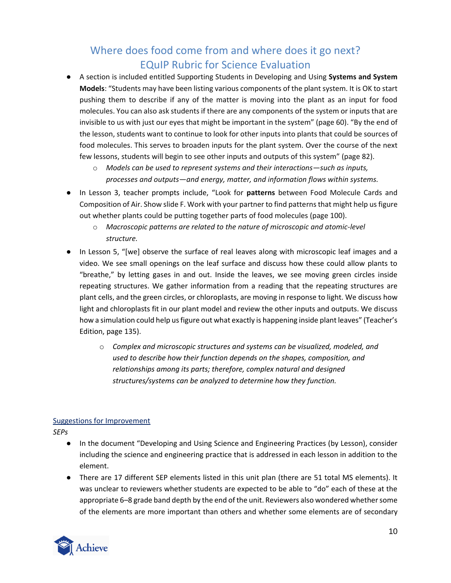- A section is included entitled Supporting Students in Developing and Using **Systems and System Models**: "Students may have been listing various components of the plant system. It is OK to start pushing them to describe if any of the matter is moving into the plant as an input for food molecules. You can also ask students if there are any components of the system or inputs that are invisible to us with just our eyes that might be important in the system" (page 60). "By the end of the lesson, students want to continue to look for other inputs into plants that could be sources of food molecules. This serves to broaden inputs for the plant system. Over the course of the next few lessons, students will begin to see other inputs and outputs of this system" (page 82).
	- o *Models can be used to represent systems and their interactions—such as inputs, processes and outputs—and energy, matter, and information flows within systems.*
- In Lesson 3, teacher prompts include, "Look for **patterns** between Food Molecule Cards and Composition of Air. Show slide F. Work with your partner to find patterns that might help us figure out whether plants could be putting together parts of food molecules (page 100).
	- o *Macroscopic patterns are related to the nature of microscopic and atomic-level structure.*
- In Lesson 5, "[we] observe the surface of real leaves along with microscopic leaf images and a video. We see small openings on the leaf surface and discuss how these could allow plants to "breathe," by letting gases in and out. Inside the leaves, we see moving green circles inside repeating structures. We gather information from a reading that the repeating structures are plant cells, and the green circles, or chloroplasts, are moving in response to light. We discuss how light and chloroplasts fit in our plant model and review the other inputs and outputs. We discuss how a simulation could help us figure out what exactly is happening inside plant leaves" (Teacher's Edition, page 135).
	- o *Complex and microscopic structures and systems can be visualized, modeled, and used to describe how their function depends on the shapes, composition, and relationships among its parts; therefore, complex natural and designed structures/systems can be analyzed to determine how they function.*

### Suggestions for Improvement

*SEPs* 

- In the document "Developing and Using Science and Engineering Practices (by Lesson), consider including the science and engineering practice that is addressed in each lesson in addition to the element.
- There are 17 different SEP elements listed in this unit plan (there are 51 total MS elements). It was unclear to reviewers whether students are expected to be able to "do" each of these at the appropriate 6*–*8 grade band depth by the end of the unit. Reviewers also wondered whether some of the elements are more important than others and whether some elements are of secondary

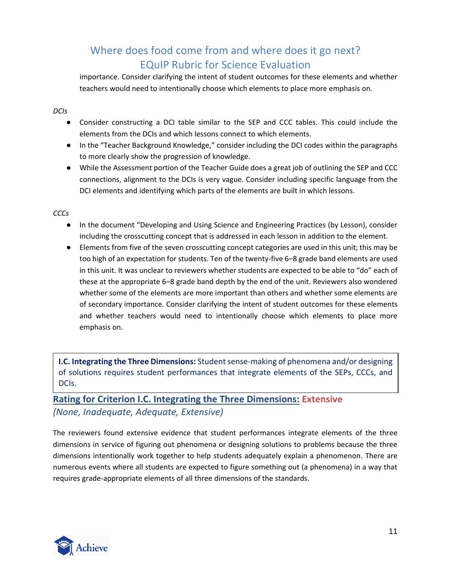importance. Consider clarifying the intent of student outcomes for these elements and whether teachers would need to intentionally choose which elements to place more emphasis on.

### *DCIs*

- Consider constructing a DCI table similar to the SEP and CCC tables. This could include the elements from the DCIs and which lessons connect to which elements.
- In the "Teacher Background Knowledge," consider including the DCI codes within the paragraphs to more clearly show the progression of knowledge.
- While the Assessment portion of the Teacher Guide does a great job of outlining the SEP and CCC connections, alignment to the DCIs is very vague. Consider including specific language from the DCI elements and identifying which parts of the elements are built in which lessons.

### *CCCs*

- In the document "Developing and Using Science and Engineering Practices (by Lesson), consider including the crosscutting concept that is addressed in each lesson in addition to the element.
- Elements from five of the seven crosscutting concept categories are used in this unit; this may be too high of an expectation for students. Ten of the twenty-five 6*–*8 grade band elements are used in this unit. It was unclear to reviewers whether students are expected to be able to "do" each of these at the appropriate 6*–*8 grade band depth by the end of the unit. Reviewers also wondered whether some of the elements are more important than others and whether some elements are of secondary importance. Consider clarifying the intent of student outcomes for these elements and whether teachers would need to intentionally choose which elements to place more emphasis on.

**I.C. Integrating the Three Dimensions:** Student sense-making of phenomena and/or designing of solutions requires student performances that integrate elements of the SEPs, CCCs, and DCIs.

**Rating for Criterion I.C. Integrating the Three Dimensions: Extensive** *(None, Inadequate, Adequate, Extensive)*

The reviewers found extensive evidence that student performances integrate elements of the three dimensions in service of figuring out phenomena or designing solutions to problems because the three dimensions intentionally work together to help students adequately explain a phenomenon. There are numerous events where all students are expected to figure something out (a phenomena) in a way that requires grade-appropriate elements of all three dimensions of the standards.

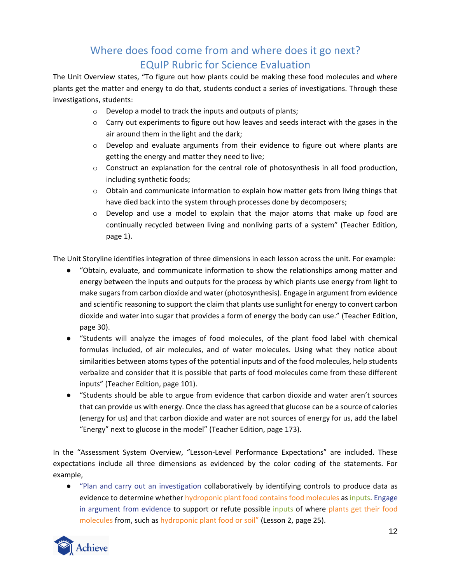The Unit Overview states, "To figure out how plants could be making these food molecules and where plants get the matter and energy to do that, students conduct a series of investigations. Through these investigations, students:

- o Develop a model to track the inputs and outputs of plants;
- $\circ$  Carry out experiments to figure out how leaves and seeds interact with the gases in the air around them in the light and the dark;
- $\circ$  Develop and evaluate arguments from their evidence to figure out where plants are getting the energy and matter they need to live;
- $\circ$  Construct an explanation for the central role of photosynthesis in all food production, including synthetic foods;
- $\circ$  Obtain and communicate information to explain how matter gets from living things that have died back into the system through processes done by decomposers;
- $\circ$  Develop and use a model to explain that the major atoms that make up food are continually recycled between living and nonliving parts of a system" (Teacher Edition, page 1).

The Unit Storyline identifies integration of three dimensions in each lesson across the unit. For example:

- "Obtain, evaluate, and communicate information to show the relationships among matter and energy between the inputs and outputs for the process by which plants use energy from light to make sugars from carbon dioxide and water (photosynthesis). Engage in argument from evidence and scientific reasoning to support the claim that plants use sunlight for energy to convert carbon dioxide and water into sugar that provides a form of energy the body can use." (Teacher Edition, page 30).
- "Students will analyze the images of food molecules, of the plant food label with chemical formulas included, of air molecules, and of water molecules. Using what they notice about similarities between atoms types of the potential inputs and of the food molecules, help students verbalize and consider that it is possible that parts of food molecules come from these different inputs" (Teacher Edition, page 101).
- "Students should be able to argue from evidence that carbon dioxide and water aren't sources that can provide us with energy. Once the class has agreed that glucose can be a source of calories (energy for us) and that carbon dioxide and water are not sources of energy for us, add the label "Energy" next to glucose in the model" (Teacher Edition, page 173).

In the "Assessment System Overview, "Lesson-Level Performance Expectations" are included. These expectations include all three dimensions as evidenced by the color coding of the statements. For example,

● "Plan and carry out an investigation collaboratively by identifying controls to produce data as evidence to determine whether hydroponic plant food contains food molecules as inputs. Engage in argument from evidence to support or refute possible inputs of where plants get their food molecules from, such as hydroponic plant food or soil" (Lesson 2, page 25).

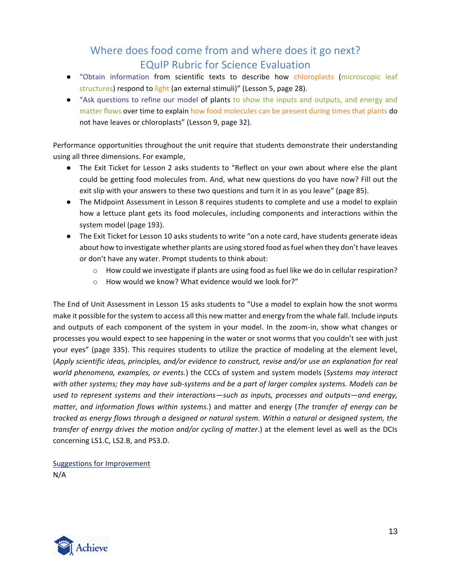- "Obtain information from scientific texts to describe how chloroplasts (microscopic leaf structures) respond to light (an external stimuli)" (Lesson 5, page 28).
- "Ask questions to refine our model of plants to show the inputs and outputs, and energy and matter flows over time to explain how food molecules can be present during times that plants do not have leaves or chloroplasts" (Lesson 9, page 32).

Performance opportunities throughout the unit require that students demonstrate their understanding using all three dimensions. For example,

- The Exit Ticket for Lesson 2 asks students to "Reflect on your own about where else the plant could be getting food molecules from. And, what new questions do you have now? Fill out the exit slip with your answers to these two questions and turn it in as you leave" (page 85).
- The Midpoint Assessment in Lesson 8 requires students to complete and use a model to explain how a lettuce plant gets its food molecules, including components and interactions within the system model (page 193).
- The Exit Ticket for Lesson 10 asks students to write "on a note card, have students generate ideas about how to investigate whether plants are using stored food as fuel when they don't have leaves or don't have any water. Prompt students to think about:
	- $\circ$  How could we investigate if plants are using food as fuel like we do in cellular respiration?
	- o How would we know? What evidence would we look for?"

The End of Unit Assessment in Lesson 15 asks students to "Use a model to explain how the snot worms make it possible for the system to access all this new matter and energy from the whale fall. Include inputs and outputs of each component of the system in your model. In the zoom-in, show what changes or processes you would expect to see happening in the water or snot worms that you couldn't see with just your eyes" (page 335). This requires students to utilize the practice of modeling at the element level, (*Apply scientific ideas, principles, and/or evidence to construct, revise and/or use an explanation for real world phenomena, examples, or events.*) the CCCs of system and system models (*Systems may interact with other systems; they may have sub-systems and be a part of larger complex systems. Models can be used to represent systems and their interactions—such as inputs, processes and outputs—and energy, matter, and information flows within systems.*) and matter and energy (*The transfer of energy can be tracked as energy flows through a designed or natural system. Within a natural or designed system, the transfer of energy drives the motion and/or cycling of matter*.) at the element level as well as the DCIs concerning LS1.C, LS2.B, and PS3.D.

Suggestions for Improvement N/A

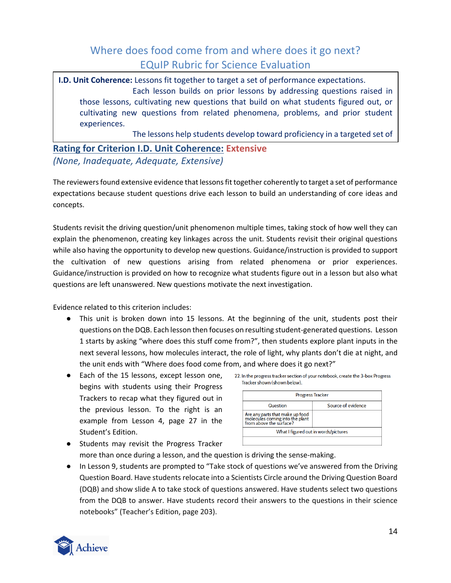**I.D. Unit Coherence:** Lessons fit together to target a set of performance expectations. Each lesson builds on prior lessons by addressing questions raised in those lessons, cultivating new questions that build on what students figured out, or cultivating new questions from related phenomena, problems, and prior student experiences.

The lessons help students develop toward proficiency in a targeted set of

## **Rating for Criterion I.D. Unit Coherence: Extensive** *(None, Inadequate, Adequate, Extensive)*

The reviewers found extensive evidence that lessons fit together coherently to target a set of performance expectations because student questions drive each lesson to build an understanding of core ideas and concepts.

Students revisit the driving question/unit phenomenon multiple times, taking stock of how well they can explain the phenomenon, creating key linkages across the unit. Students revisit their original questions while also having the opportunity to develop new questions. Guidance/instruction is provided to support the cultivation of new questions arising from related phenomena or prior experiences. Guidance/instruction is provided on how to recognize what students figure out in a lesson but also what questions are left unanswered. New questions motivate the next investigation.

Evidence related to this criterion includes:

- This unit is broken down into 15 lessons. At the beginning of the unit, students post their questions on the DQB. Each lesson then focuses on resulting student-generated questions. Lesson 1 starts by asking "where does this stuff come from?", then students explore plant inputs in the next several lessons, how molecules interact, the role of light, why plants don't die at night, and the unit ends with "Where does food come from, and where does it go next?"
- Each of the 15 lessons, except lesson one, begins with students using their Progress Trackers to recap what they figured out in the previous lesson. To the right is an example from Lesson 4, page 27 in the Student's Edition.

|                                                                                               | <b>Progress Tracker</b> |
|-----------------------------------------------------------------------------------------------|-------------------------|
| Question                                                                                      | Source of evidence      |
| Are any parts that make up food<br>molecules coming into the plant<br>from above the surface? |                         |

- Students may revisit the Progress Tracker more than once during a lesson, and the question is driving the sense-making.
- In Lesson 9, students are prompted to "Take stock of questions we've answered from the Driving Question Board. Have students relocate into a Scientists Circle around the Driving Question Board (DQB) and show slide A to take stock of questions answered. Have students select two questions from the DQB to answer. Have students record their answers to the questions in their science notebooks" (Teacher's Edition, page 203).

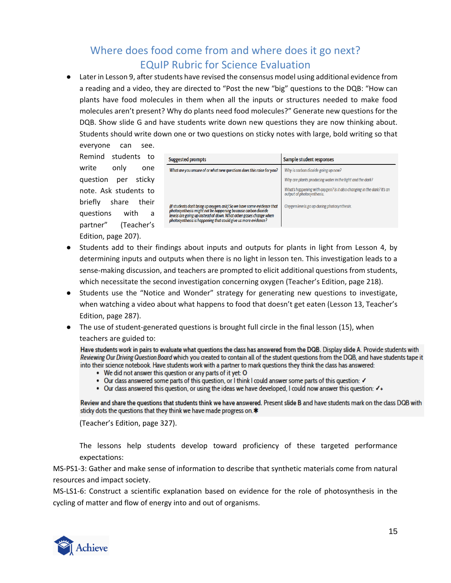● Later in Lesson 9, after students have revised the consensus model using additional evidence from a reading and a video, they are directed to "Post the new "big" questions to the DQB: "How can plants have food molecules in them when all the inputs or structures needed to make food molecules aren't present? Why do plants need food molecules?" Generate new questions for the DQB. Show slide G and have students write down new questions they are now thinking about. Students should write down one or two questions on sticky notes with large, bold writing so that

everyone can see. Remind students to write only one question per sticky note. Ask students to briefly share their questions with a partner" (Teacher's Edition, page 207).

| <b>Suggested prompts</b>                                                                                                                                                                                                                                                      | Sample student responses                                                                            |
|-------------------------------------------------------------------------------------------------------------------------------------------------------------------------------------------------------------------------------------------------------------------------------|-----------------------------------------------------------------------------------------------------|
| What are you unsure of or what new questions does this raise for you?                                                                                                                                                                                                         | Why is carbon dioxide going up now?                                                                 |
|                                                                                                                                                                                                                                                                               | Why are plants producing water in the light and the dark?                                           |
|                                                                                                                                                                                                                                                                               | What's happening with oxygen? Is it also changing in the dark? It's an<br>output of photosynthesis. |
| (If students don't bring up oxygen, ask:) So we have some evidence that<br>photosynthesis might not be happening because carbon dioxide<br>levels are going up instead of down. What other gases change when<br>photosynthesis is happening that could give us more evidence? | Oxygen levels go up during photosynthesis.                                                          |

- Students add to their findings about inputs and outputs for plants in light from Lesson 4, by determining inputs and outputs when there is no light in lesson ten. This investigation leads to a sense-making discussion, and teachers are prompted to elicit additional questions from students, which necessitate the second investigation concerning oxygen (Teacher's Edition, page 218).
- Students use the "Notice and Wonder" strategy for generating new questions to investigate, when watching a video about what happens to food that doesn't get eaten (Lesson 13, Teacher's Edition, page 287).
- The use of student-generated questions is brought full circle in the final lesson (15), when teachers are guided to:

Have students work in pairs to evaluate what questions the class has answered from the DQB. Display slide A. Provide students with Reviewing Our Driving Question Board which you created to contain all of the student questions from the DQB, and have students tape it into their science notebook. Have students work with a partner to mark questions they think the class has answered:

- We did not answer this question or any parts of it yet: O
- Our class answered some parts of this question, or I think I could answer some parts of this question:  $\checkmark$
- Our class answered this question, or using the ideas we have developed, I could now answer this question:  $\checkmark$ +

Review and share the questions that students think we have answered. Present slide B and have students mark on the class DQB with sticky dots the questions that they think we have made progress on.\*

(Teacher's Edition, page 327).

The lessons help students develop toward proficiency of these targeted performance expectations:

MS-PS1-3: Gather and make sense of information to describe that synthetic materials come from natural resources and impact society.

MS-LS1-6: Construct a scientific explanation based on evidence for the role of photosynthesis in the cycling of matter and flow of energy into and out of organisms.

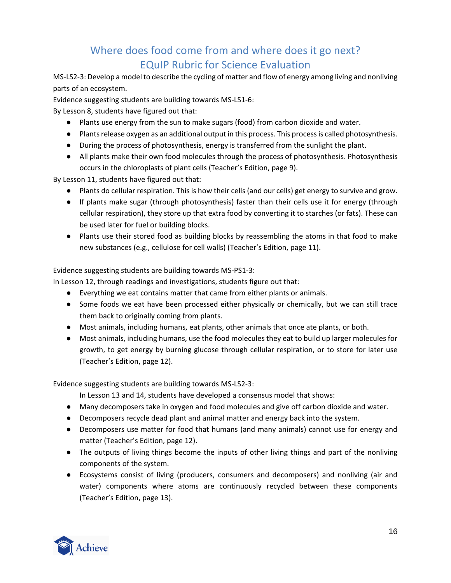MS-LS2-3: Develop a model to describe the cycling of matter and flow of energy among living and nonliving parts of an ecosystem.

Evidence suggesting students are building towards MS-LS1-6:

By Lesson 8, students have figured out that:

- Plants use energy from the sun to make sugars (food) from carbon dioxide and water.
- Plants release oxygen as an additional output in this process. This process is called photosynthesis.
- During the process of photosynthesis, energy is transferred from the sunlight the plant.
- All plants make their own food molecules through the process of photosynthesis. Photosynthesis occurs in the chloroplasts of plant cells (Teacher's Edition, page 9).

By Lesson 11, students have figured out that:

- Plants do cellular respiration. This is how their cells (and our cells) get energy to survive and grow.
- If plants make sugar (through photosynthesis) faster than their cells use it for energy (through cellular respiration), they store up that extra food by converting it to starches (or fats). These can be used later for fuel or building blocks.
- Plants use their stored food as building blocks by reassembling the atoms in that food to make new substances (e.g., cellulose for cell walls) (Teacher's Edition, page 11).

### Evidence suggesting students are building towards MS-PS1-3:

In Lesson 12, through readings and investigations, students figure out that:

- Everything we eat contains matter that came from either plants or animals.
- Some foods we eat have been processed either physically or chemically, but we can still trace them back to originally coming from plants.
- Most animals, including humans, eat plants, other animals that once ate plants, or both.
- Most animals, including humans, use the food molecules they eat to build up larger molecules for growth, to get energy by burning glucose through cellular respiration, or to store for later use (Teacher's Edition, page 12).

Evidence suggesting students are building towards MS-LS2-3:

In Lesson 13 and 14, students have developed a consensus model that shows:

- Many decomposers take in oxygen and food molecules and give off carbon dioxide and water.
- Decomposers recycle dead plant and animal matter and energy back into the system.
- Decomposers use matter for food that humans (and many animals) cannot use for energy and matter (Teacher's Edition, page 12).
- The outputs of living things become the inputs of other living things and part of the nonliving components of the system.
- Ecosystems consist of living (producers, consumers and decomposers) and nonliving (air and water) components where atoms are continuously recycled between these components (Teacher's Edition, page 13).

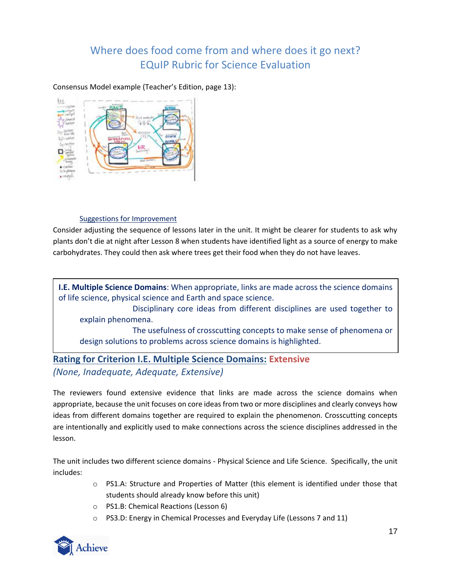Consensus Model example (Teacher's Edition, page 13):



### Suggestions for Improvement

Consider adjusting the sequence of lessons later in the unit. It might be clearer for students to ask why plants don't die at night after Lesson 8 when students have identified light as a source of energy to make carbohydrates. They could then ask where trees get their food when they do not have leaves.

**I.E. Multiple Science Domains**: When appropriate, links are made across the science domains of life science, physical science and Earth and space science.

Disciplinary core ideas from different disciplines are used together to explain phenomena.

The usefulness of crosscutting concepts to make sense of phenomena or design solutions to problems across science domains is highlighted.

## **Rating for Criterion I.E. Multiple Science Domains: Extensive** *(None, Inadequate, Adequate, Extensive)*

The reviewers found extensive evidence that links are made across the science domains when appropriate, because the unit focuses on core ideas from two or more disciplines and clearly conveys how ideas from different domains together are required to explain the phenomenon. Crosscutting concepts are intentionally and explicitly used to make connections across the science disciplines addressed in the lesson.

The unit includes two different science domains - Physical Science and Life Science. Specifically, the unit includes:

- o PS1.A: Structure and Properties of Matter (this element is identified under those that students should already know before this unit)
- o PS1.B: Chemical Reactions (Lesson 6)
- o PS3.D: Energy in Chemical Processes and Everyday Life (Lessons 7 and 11)

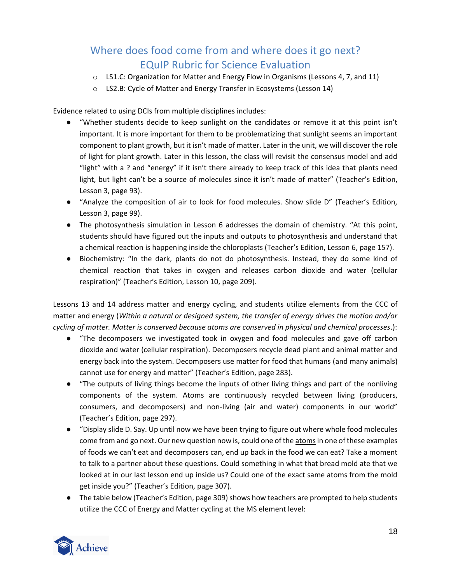- $\circ$  LS1.C: Organization for Matter and Energy Flow in Organisms (Lessons 4, 7, and 11)
- o LS2.B: Cycle of Matter and Energy Transfer in Ecosystems (Lesson 14)

Evidence related to using DCIs from multiple disciplines includes:

- "Whether students decide to keep sunlight on the candidates or remove it at this point isn't important. It is more important for them to be problematizing that sunlight seems an important component to plant growth, but it isn't made of matter. Later in the unit, we will discover the role of light for plant growth. Later in this lesson, the class will revisit the consensus model and add "light" with a ? and "energy" if it isn't there already to keep track of this idea that plants need light, but light can't be a source of molecules since it isn't made of matter" (Teacher's Edition, Lesson 3, page 93).
- "Analyze the composition of air to look for food molecules. Show slide D" (Teacher's Edition, Lesson 3, page 99).
- The photosynthesis simulation in Lesson 6 addresses the domain of chemistry. "At this point, students should have figured out the inputs and outputs to photosynthesis and understand that a chemical reaction is happening inside the chloroplasts (Teacher's Edition, Lesson 6, page 157).
- Biochemistry: "In the dark, plants do not do photosynthesis. Instead, they do some kind of chemical reaction that takes in oxygen and releases carbon dioxide and water (cellular respiration)" (Teacher's Edition, Lesson 10, page 209).

Lessons 13 and 14 address matter and energy cycling, and students utilize elements from the CCC of matter and energy (*Within a natural or designed system, the transfer of energy drives the motion and/or cycling of matter. Matter is conserved because atoms are conserved in physical and chemical processes*.):

- "The decomposers we investigated took in oxygen and food molecules and gave off carbon dioxide and water (cellular respiration). Decomposers recycle dead plant and animal matter and energy back into the system. Decomposers use matter for food that humans (and many animals) cannot use for energy and matter" (Teacher's Edition, page 283).
- "The outputs of living things become the inputs of other living things and part of the nonliving components of the system. Atoms are continuously recycled between living (producers, consumers, and decomposers) and non-living (air and water) components in our world" (Teacher's Edition, page 297).
- "Display slide D. Say. Up until now we have been trying to figure out where whole food molecules come from and go next. Our new question now is, could one of the atomsin one of these examples of foods we can't eat and decomposers can, end up back in the food we can eat? Take a moment to talk to a partner about these questions. Could something in what that bread mold ate that we looked at in our last lesson end up inside us? Could one of the exact same atoms from the mold get inside you?" (Teacher's Edition, page 307).
- The table below (Teacher's Edition, page 309) shows how teachers are prompted to help students utilize the CCC of Energy and Matter cycling at the MS element level:

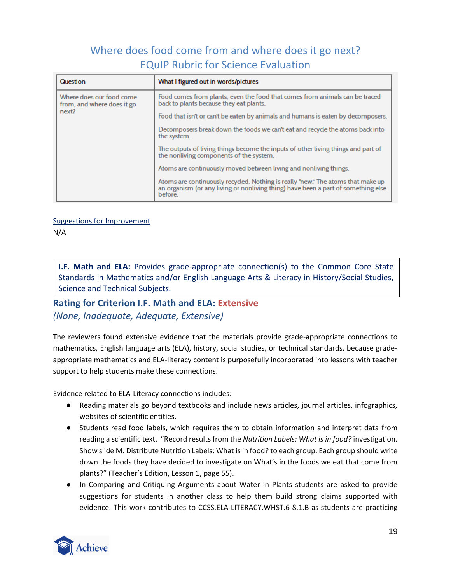| Question                                                        | What I figured out in words/pictures                                                                                                                                            |
|-----------------------------------------------------------------|---------------------------------------------------------------------------------------------------------------------------------------------------------------------------------|
| Where does our food come<br>from, and where does it go<br>next? | Food comes from plants, even the food that comes from animals can be traced<br>back to plants because they eat plants.                                                          |
|                                                                 | Food that isn't or can't be eaten by animals and humans is eaten by decomposers.                                                                                                |
|                                                                 | Decomposers break down the foods we can't eat and recycle the atoms back into<br>the system.                                                                                    |
|                                                                 | The outputs of living things become the inputs of other living things and part of<br>the nonliving components of the system.                                                    |
|                                                                 | Atoms are continuously moved between living and nonliving things.                                                                                                               |
|                                                                 | Atoms are continuously recycled. Nothing is really "new." The atoms that make up<br>an organism (or any living or nonliving thing) have been a part of something else<br>before |

Suggestions for Improvement

N/A

**I.F. Math and ELA:** Provides grade-appropriate connection(s) to the Common Core State Standards in Mathematics and/or English Language Arts & Literacy in History/Social Studies, Science and Technical Subjects.

## **Rating for Criterion I.F. Math and ELA: Extensive**

*(None, Inadequate, Adequate, Extensive)*

The reviewers found extensive evidence that the materials provide grade-appropriate connections to mathematics, English language arts (ELA), history, social studies, or technical standards, because gradeappropriate mathematics and ELA-literacy content is purposefully incorporated into lessons with teacher support to help students make these connections.

Evidence related to ELA-Literacy connections includes:

- Reading materials go beyond textbooks and include news articles, journal articles, infographics, websites of scientific entities.
- Students read food labels, which requires them to obtain information and interpret data from reading a scientific text. "Record results from the *Nutrition Labels: What is in food?* investigation. Show slide M. Distribute Nutrition Labels: What is in food? to each group. Each group should write down the foods they have decided to investigate on What's in the foods we eat that come from plants?" (Teacher's Edition, Lesson 1, page 55).
- In Comparing and Critiquing Arguments about Water in Plants students are asked to provide suggestions for students in another class to help them build strong claims supported with evidence. This work contributes to CCSS.ELA-LITERACY.WHST.6-8.1.B as students are practicing

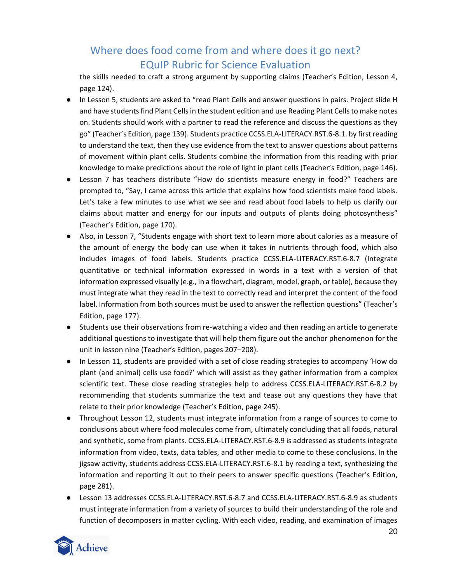the skills needed to craft a strong argument by supporting claims (Teacher's Edition, Lesson 4, page 124).

- In Lesson 5, students are asked to "read Plant Cells and answer questions in pairs. Project slide H and have students find Plant Cells in the student edition and use Reading Plant Cells to make notes on. Students should work with a partner to read the reference and discuss the questions as they go" (Teacher's Edition, page 139). Students practice CCSS.ELA-LITERACY.RST.6-8.1. by first reading to understand the text, then they use evidence from the text to answer questions about patterns of movement within plant cells. Students combine the information from this reading with prior knowledge to make predictions about the role of light in plant cells (Teacher's Edition, page 146).
- Lesson 7 has teachers distribute "How do scientists measure energy in food?" Teachers are prompted to, "Say, I came across this article that explains how food scientists make food labels. Let's take a few minutes to use what we see and read about food labels to help us clarify our claims about matter and energy for our inputs and outputs of plants doing photosynthesis" (Teacher's Edition, page 170).
- Also, in Lesson 7, "Students engage with short text to learn more about calories as a measure of the amount of energy the body can use when it takes in nutrients through food, which also includes images of food labels. Students practice CCSS.ELA-LITERACY.RST.6-8.7 (Integrate quantitative or technical information expressed in words in a text with a version of that information expressed visually (e.g., in a flowchart, diagram, model, graph, or table), because they must integrate what they read in the text to correctly read and interpret the content of the food label. Information from both sources must be used to answer the reflection questions" (Teacher's Edition, page 177).
- Students use their observations from re-watching a video and then reading an article to generate additional questions to investigate that will help them figure out the anchor phenomenon for the unit in lesson nine (Teacher's Edition, pages 207*–*208).
- In Lesson 11, students are provided with a set of close reading strategies to accompany 'How do plant (and animal) cells use food?' which will assist as they gather information from a complex scientific text. These close reading strategies help to address CCSS.ELA-LITERACY.RST.6-8.2 by recommending that students summarize the text and tease out any questions they have that relate to their prior knowledge (Teacher's Edition, page 245).
- Throughout Lesson 12, students must integrate information from a range of sources to come to conclusions about where food molecules come from, ultimately concluding that all foods, natural and synthetic, some from plants. CCSS.ELA-LITERACY.RST.6-8.9 is addressed as students integrate information from video, texts, data tables, and other media to come to these conclusions. In the jigsaw activity, students address CCSS.ELA-LITERACY.RST.6-8.1 by reading a text, synthesizing the information and reporting it out to their peers to answer specific questions (Teacher's Edition, page 281).
- Lesson 13 addresses CCSS.ELA-LITERACY.RST.6-8.7 and CCSS.ELA-LITERACY.RST.6-8.9 as students must integrate information from a variety of sources to build their understanding of the role and function of decomposers in matter cycling. With each video, reading, and examination of images

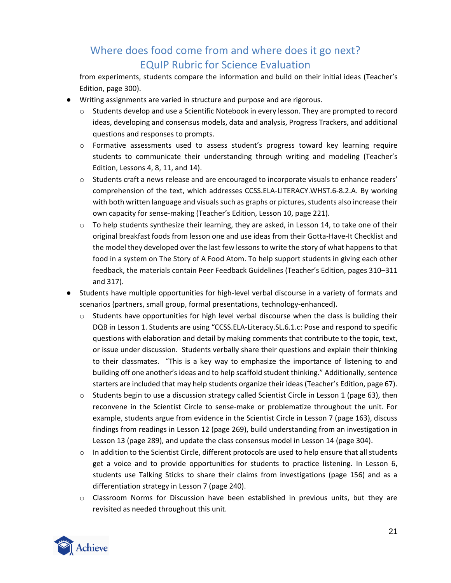from experiments, students compare the information and build on their initial ideas (Teacher's Edition, page 300).

- Writing assignments are varied in structure and purpose and are rigorous.
	- o Students develop and use a Scientific Notebook in every lesson. They are prompted to record ideas, developing and consensus models, data and analysis, Progress Trackers, and additional questions and responses to prompts.
	- o Formative assessments used to assess student's progress toward key learning require students to communicate their understanding through writing and modeling (Teacher's Edition, Lessons 4, 8, 11, and 14).
	- $\circ$  Students craft a news release and are encouraged to incorporate visuals to enhance readers' comprehension of the text, which addresses CCSS.ELA-LITERACY.WHST.6-8.2.A. By working with both written language and visuals such as graphs or pictures, students also increase their own capacity for sense-making (Teacher's Edition, Lesson 10, page 221).
	- $\circ$  To help students synthesize their learning, they are asked, in Lesson 14, to take one of their original breakfast foods from lesson one and use ideas from their Gotta-Have-It Checklist and the model they developed over the last few lessons to write the story of what happens to that food in a system on The Story of A Food Atom. To help support students in giving each other feedback, the materials contain Peer Feedback Guidelines (Teacher's Edition, pages 310–311 and 317).
- Students have multiple opportunities for high-level verbal discourse in a variety of formats and scenarios (partners, small group, formal presentations, technology-enhanced).
	- $\circ$  Students have opportunities for high level verbal discourse when the class is building their DQB in Lesson 1. Students are using "CCSS.ELA-Literacy.SL.6.1.c: Pose and respond to specific questions with elaboration and detail by making comments that contribute to the topic, text, or issue under discussion. Students verbally share their questions and explain their thinking to their classmates. "This is a key way to emphasize the importance of listening to and building off one another's ideas and to help scaffold student thinking." Additionally, sentence starters are included that may help students organize their ideas (Teacher's Edition, page 67).
	- $\circ$  Students begin to use a discussion strategy called Scientist Circle in Lesson 1 (page 63), then reconvene in the Scientist Circle to sense-make or problematize throughout the unit. For example, students argue from evidence in the Scientist Circle in Lesson 7 (page 163), discuss findings from readings in Lesson 12 (page 269), build understanding from an investigation in Lesson 13 (page 289), and update the class consensus model in Lesson 14 (page 304).
	- $\circ$  In addition to the Scientist Circle, different protocols are used to help ensure that all students get a voice and to provide opportunities for students to practice listening. In Lesson 6, students use Talking Sticks to share their claims from investigations (page 156) and as a differentiation strategy in Lesson 7 (page 240).
	- o Classroom Norms for Discussion have been established in previous units, but they are revisited as needed throughout this unit.

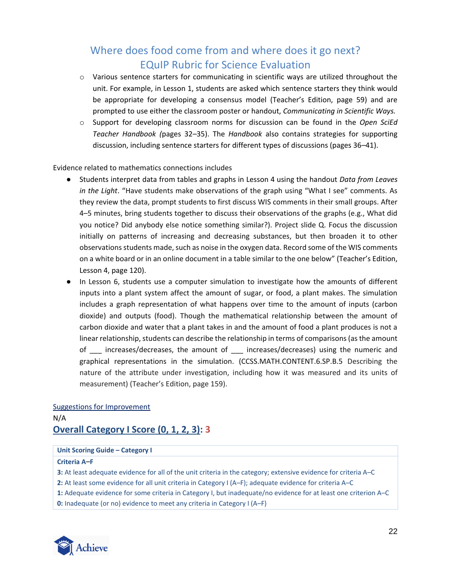- o Various sentence starters for communicating in scientific ways are utilized throughout the unit. For example, in Lesson 1, students are asked which sentence starters they think would be appropriate for developing a consensus model (Teacher's Edition, page 59) and are prompted to use either the classroom poster or handout, *Communicating in Scientific Ways.*
- o Support for developing classroom norms for discussion can be found in the *Open SciEd Teacher Handbook (*pages 32*–*35). The *Handbook* also contains strategies for supporting discussion, including sentence starters for different types of discussions (pages 36*–*41).

Evidence related to mathematics connections includes

- Students interpret data from tables and graphs in Lesson 4 using the handout *Data from Leaves in the Light*. "Have students make observations of the graph using "What I see" comments. As they review the data, prompt students to first discuss WIS comments in their small groups. After 4–5 minutes, bring students together to discuss their observations of the graphs (e.g., What did you notice? Did anybody else notice something similar?). Project slide Q. Focus the discussion initially on patterns of increasing and decreasing substances, but then broaden it to other observations students made, such as noise in the oxygen data. Record some of the WIS comments on a white board or in an online document in a table similar to the one below" (Teacher's Edition, Lesson 4, page 120).
- In Lesson 6, students use a computer simulation to investigate how the amounts of different inputs into a plant system affect the amount of sugar, or food, a plant makes. The simulation includes a graph representation of what happens over time to the amount of inputs (carbon dioxide) and outputs (food). Though the mathematical relationship between the amount of carbon dioxide and water that a plant takes in and the amount of food a plant produces is not a linear relationship, students can describe the relationship in terms of comparisons (as the amount of increases/decreases, the amount of increases/decreases) using the numeric and graphical representations in the simulation. (CCSS.MATH.CONTENT.6.SP.B.5 Describing the nature of the attribute under investigation, including how it was measured and its units of measurement) (Teacher's Edition, page 159).

### Suggestions for Improvement

### N/A **Overall Category I Score (0, 1, 2, 3): 3**

#### **Unit Scoring Guide – Category I**

#### **Criteria A***–***F**

- **3:** At least adequate evidence for all of the unit criteria in the category; extensive evidence for criteria A–C
- **2:** At least some evidence for all unit criteria in Category I (A–F); adequate evidence for criteria A–C
- **1:** Adequate evidence for some criteria in Category I, but inadequate/no evidence for at least one criterion A–C
- <span id="page-21-0"></span>**0:** Inadequate (or no) evidence to meet any criteria in Category I (A–F)

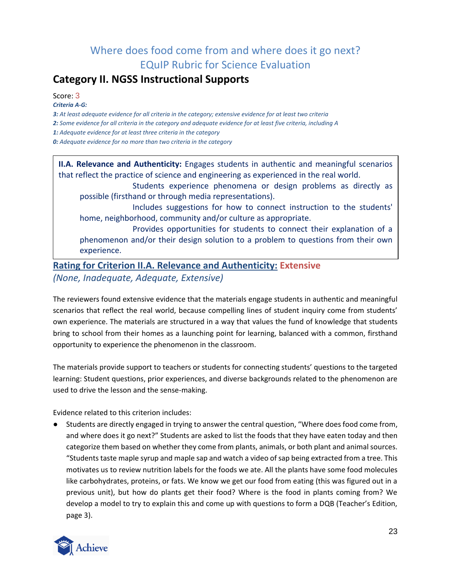## **Category II. NGSS Instructional Supports**

Score: 3

*Criteria A‐G:*

*3: At least adequate evidence for all criteria in the category; extensive evidence for at least two criteria*

*2: Some evidence for all criteria in the category and adequate evidence for at least five criteria, including A*

*1: Adequate evidence for at least three criteria in the category*

*0: Adequate evidence for no more than two criteria in the category*

**II.A. Relevance and Authenticity:** Engages students in authentic and meaningful scenarios that reflect the practice of science and engineering as experienced in the real world.

Students experience phenomena or design problems as directly as possible (firsthand or through media representations).

Includes suggestions for how to connect instruction to the students' home, neighborhood, community and/or culture as appropriate.

Provides opportunities for students to connect their explanation of a phenomenon and/or their design solution to a problem to questions from their own experience.

## **Rating for Criterion II.A. Relevance and Authenticity: Extensive** *(None, Inadequate, Adequate, Extensive)*

The reviewers found extensive evidence that the materials engage students in authentic and meaningful scenarios that reflect the real world, because compelling lines of student inquiry come from students' own experience. The materials are structured in a way that values the fund of knowledge that students bring to school from their homes as a launching point for learning, balanced with a common, firsthand opportunity to experience the phenomenon in the classroom.

The materials provide support to teachers or students for connecting students' questions to the targeted learning: Student questions, prior experiences, and diverse backgrounds related to the phenomenon are used to drive the lesson and the sense-making.

Evidence related to this criterion includes:

● Students are directly engaged in trying to answer the central question, "Where does food come from, and where does it go next?" Students are asked to list the foods that they have eaten today and then categorize them based on whether they come from plants, animals, or both plant and animal sources. "Students taste maple syrup and maple sap and watch a video of sap being extracted from a tree. This motivates us to review nutrition labels for the foods we ate. All the plants have some food molecules like carbohydrates, proteins, or fats. We know we get our food from eating (this was figured out in a previous unit), but how do plants get their food? Where is the food in plants coming from? We develop a model to try to explain this and come up with questions to form a DQB (Teacher's Edition, page 3).

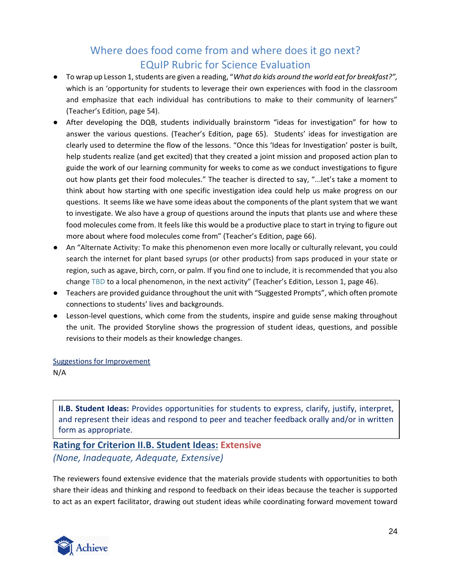- To wrap up Lesson 1, students are given a reading, "*What do kids around the world eat for breakfast?",*  which is an 'opportunity for students to leverage their own experiences with food in the classroom and emphasize that each individual has contributions to make to their community of learners" (Teacher's Edition, page 54).
- After developing the DQB, students individually brainstorm "ideas for investigation" for how to answer the various questions. (Teacher's Edition, page 65). Students' ideas for investigation are clearly used to determine the flow of the lessons. "Once this 'Ideas for Investigation' poster is built, help students realize (and get excited) that they created a joint mission and proposed action plan to guide the work of our learning community for weeks to come as we conduct investigations to figure out how plants get their food molecules." The teacher is directed to say, "...let's take a moment to think about how starting with one specific investigation idea could help us make progress on our questions. It seems like we have some ideas about the components of the plant system that we want to investigate. We also have a group of questions around the inputs that plants use and where these food molecules come from. It feels like this would be a productive place to start in trying to figure out more about where food molecules come from" (Teacher's Edition, page 66).
- An "Alternate Activity: To make this phenomenon even more locally or culturally relevant, you could search the internet for plant based syrups (or other products) from saps produced in your state or region, such as agave, birch, corn, or palm. If you find one to include, it is recommended that you also change TBD to a local phenomenon, in the next activity" (Teacher's Edition, Lesson 1, page 46).
- Teachers are provided guidance throughout the unit with "Suggested Prompts", which often promote connections to students' lives and backgrounds.
- Lesson-level questions, which come from the students, inspire and guide sense making throughout the unit. The provided Storyline shows the progression of student ideas, questions, and possible revisions to their models as their knowledge changes.

Suggestions for Improvement

N/A

**II.B. Student Ideas:** Provides opportunities for students to express, clarify, justify, interpret, and represent their ideas and respond to peer and teacher feedback orally and/or in written form as appropriate.

## **Rating for Criterion II.B. Student Ideas: Extensive** *(None, Inadequate, Adequate, Extensive)*

The reviewers found extensive evidence that the materials provide students with opportunities to both share their ideas and thinking and respond to feedback on their ideas because the teacher is supported to act as an expert facilitator, drawing out student ideas while coordinating forward movement toward

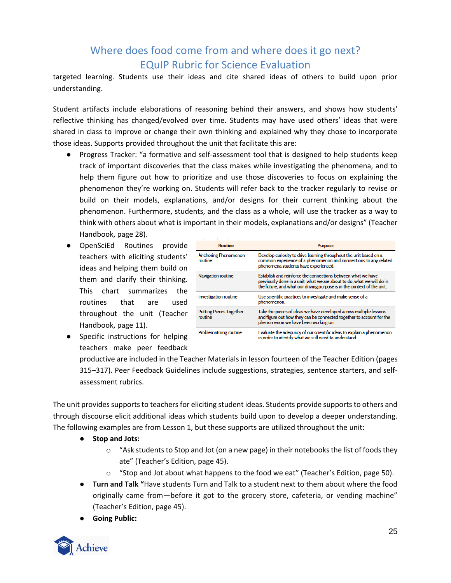targeted learning. Students use their ideas and cite shared ideas of others to build upon prior understanding.

Student artifacts include elaborations of reasoning behind their answers, and shows how students' reflective thinking has changed/evolved over time. Students may have used others' ideas that were shared in class to improve or change their own thinking and explained why they chose to incorporate those ideas. Supports provided throughout the unit that facilitate this are:

- Progress Tracker: "a formative and self-assessment tool that is designed to help students keep track of important discoveries that the class makes while investigating the phenomena, and to help them figure out how to prioritize and use those discoveries to focus on explaining the phenomenon they're working on. Students will refer back to the tracker regularly to revise or build on their models, explanations, and/or designs for their current thinking about the phenomenon. Furthermore, students, and the class as a whole, will use the tracker as a way to think with others about what is important in their models, explanations and/or designs" (Teacher Handbook, page 28).
- OpenSciEd Routines provide teachers with eliciting students' ideas and helping them build on them and clarify their thinking. This chart summarizes the routines that are used throughout the unit (Teacher Handbook, page 11).
- Specific instructions for helping teachers make peer feedback

| <b>Routine</b>                            | <b>Purpose</b>                                                                                                                                                                                                    |
|-------------------------------------------|-------------------------------------------------------------------------------------------------------------------------------------------------------------------------------------------------------------------|
| <b>Anchoring Phenomenon</b><br>routine    | Develop curiosity to drive learning throughout the unit based on a<br>common experience of a phenomenon and connections to any related<br>phenomena students have experienced.                                    |
| <b>Navigation routine</b>                 | Establish and reinforce the connections between what we have<br>previously done in a unit, what we are about to do, what we will do in<br>the future, and what our driving purpose is in the context of the unit. |
| <b>Investigation routine</b>              | Use scientific practices to investigate and make sense of a<br>phenomenon.                                                                                                                                        |
| <b>Putting Pieces Together</b><br>routine | Take the pieces of ideas we have developed across multiple lessons<br>and figure out how they can be connected together to account for the<br>phenomenon we have been working on.                                 |
| Problematizing routine                    | Evaluate the adequacy of our scientific ideas to explain a phenomenon<br>in order to identify what we still need to understand.                                                                                   |

productive are included in the Teacher Materials in lesson fourteen of the Teacher Edition (pages 315*–*317). Peer Feedback Guidelines include suggestions, strategies, sentence starters, and selfassessment rubrics.

The unit provides supports to teachers for eliciting student ideas. Students provide supports to others and through discourse elicit additional ideas which students build upon to develop a deeper understanding. The following examples are from Lesson 1, but these supports are utilized throughout the unit:

- **Stop and Jots:** 
	- $\circ$  "Ask students to Stop and Jot (on a new page) in their notebooks the list of foods they ate" (Teacher's Edition, page 45).
	- $\circ$  "Stop and Jot about what happens to the food we eat" (Teacher's Edition, page 50).
- **Turn and Talk "**Have students Turn and Talk to a student next to them about where the food originally came from—before it got to the grocery store, cafeteria, or vending machine" (Teacher's Edition, page 45).
- **Going Public:**

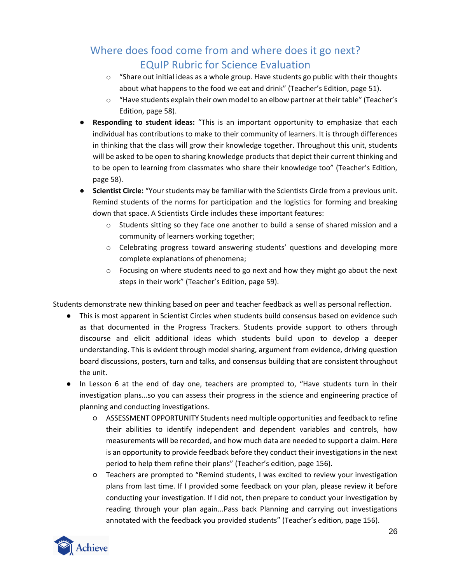- $\circ$  "Share out initial ideas as a whole group. Have students go public with their thoughts about what happens to the food we eat and drink" (Teacher's Edition, page 51).
- $\circ$  "Have students explain their own model to an elbow partner at their table" (Teacher's Edition, page 58).
- **Responding to student ideas:** "This is an important opportunity to emphasize that each individual has contributions to make to their community of learners. It is through differences in thinking that the class will grow their knowledge together. Throughout this unit, students will be asked to be open to sharing knowledge products that depict their current thinking and to be open to learning from classmates who share their knowledge too" (Teacher's Edition, page 58).
- **Scientist Circle:** "Your students may be familiar with the Scientists Circle from a previous unit. Remind students of the norms for participation and the logistics for forming and breaking down that space. A Scientists Circle includes these important features:
	- $\circ$  Students sitting so they face one another to build a sense of shared mission and a community of learners working together;
	- o Celebrating progress toward answering students' questions and developing more complete explanations of phenomena;
	- $\circ$  Focusing on where students need to go next and how they might go about the next steps in their work" (Teacher's Edition, page 59).

Students demonstrate new thinking based on peer and teacher feedback as well as personal reflection.

- This is most apparent in Scientist Circles when students build consensus based on evidence such as that documented in the Progress Trackers. Students provide support to others through discourse and elicit additional ideas which students build upon to develop a deeper understanding. This is evident through model sharing, argument from evidence, driving question board discussions, posters, turn and talks, and consensus building that are consistent throughout the unit.
- In Lesson 6 at the end of day one, teachers are prompted to, "Have students turn in their investigation plans...so you can assess their progress in the science and engineering practice of planning and conducting investigations.
	- ASSESSMENT OPPORTUNITY Students need multiple opportunities and feedback to refine their abilities to identify independent and dependent variables and controls, how measurements will be recorded, and how much data are needed to support a claim. Here is an opportunity to provide feedback before they conduct their investigations in the next period to help them refine their plans" (Teacher's edition, page 156).
	- Teachers are prompted to "Remind students, I was excited to review your investigation plans from last time. If I provided some feedback on your plan, please review it before conducting your investigation. If I did not, then prepare to conduct your investigation by reading through your plan again...Pass back Planning and carrying out investigations annotated with the feedback you provided students" (Teacher's edition, page 156).

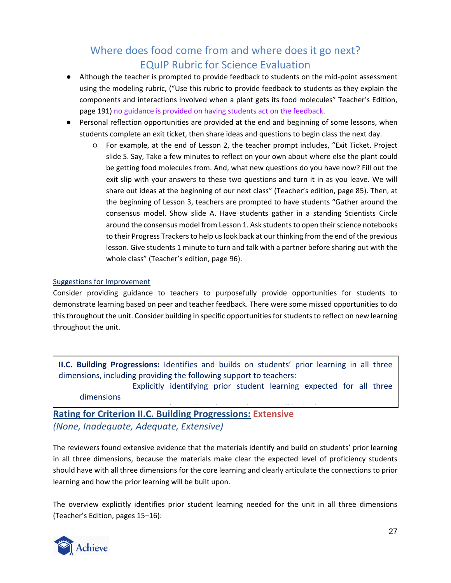- Although the teacher is prompted to provide feedback to students on the mid-point assessment using the modeling rubric, ("Use this rubric to provide feedback to students as they explain the components and interactions involved when a plant gets its food molecules" Teacher's Edition, page 191) no guidance is provided on having students act on the feedback.
- Personal reflection opportunities are provided at the end and beginning of some lessons, when students complete an exit ticket, then share ideas and questions to begin class the next day.
	- For example, at the end of Lesson 2, the teacher prompt includes, "Exit Ticket. Project slide S. Say, Take a few minutes to reflect on your own about where else the plant could be getting food molecules from. And, what new questions do you have now? Fill out the exit slip with your answers to these two questions and turn it in as you leave. We will share out ideas at the beginning of our next class" (Teacher's edition, page 85). Then, at the beginning of Lesson 3, teachers are prompted to have students "Gather around the consensus model. Show slide A. Have students gather in a standing Scientists Circle around the consensus model from Lesson 1. Ask students to open their science notebooks to their Progress Trackers to help us look back at our thinking from the end of the previous lesson. Give students 1 minute to turn and talk with a partner before sharing out with the whole class" (Teacher's edition, page 96).

### Suggestions for Improvement

Consider providing guidance to teachers to purposefully provide opportunities for students to demonstrate learning based on peer and teacher feedback. There were some missed opportunities to do this throughout the unit. Consider building in specific opportunities for students to reflect on new learning throughout the unit.

**II.C. Building Progressions:** Identifies and builds on students' prior learning in all three dimensions, including providing the following support to teachers:

Explicitly identifying prior student learning expected for all three dimensions

**Rating for Criterion II.C. Building Progressions: Extensive** *(None, Inadequate, Adequate, Extensive)*

The reviewers found extensive evidence that the materials identify and build on students' prior learning in all three dimensions, because the materials make clear the expected level of proficiency students should have with all three dimensions for the core learning and clearly articulate the connections to prior learning and how the prior learning will be built upon.

The overview explicitly identifies prior student learning needed for the unit in all three dimensions (Teacher's Edition, pages 15*–*16):

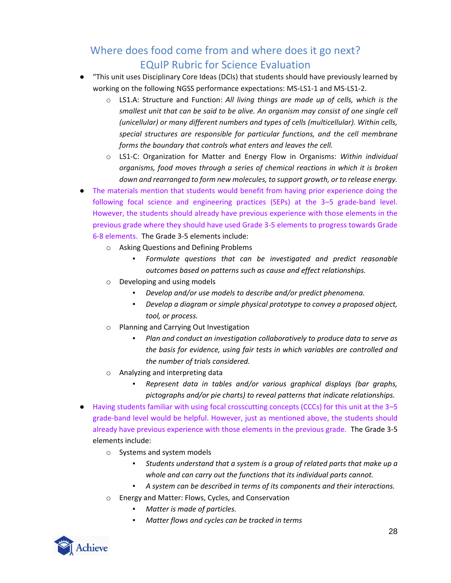- "This unit uses Disciplinary Core Ideas (DCIs) that students should have previously learned by working on the following NGSS performance expectations: MS-LS1-1 and MS-LS1-2.
	- o LS1.A: Structure and Function: *All living things are made up of cells, which is the smallest unit that can be said to be alive. An organism may consist of one single cell (unicellular) or many different numbers and types of cells (multicellular). Within cells, special structures are responsible for particular functions, and the cell membrane forms the boundary that controls what enters and leaves the cell.*
	- o LS1-C: Organization for Matter and Energy Flow in Organisms: *Within individual organisms, food moves through a series of chemical reactions in which it is broken down and rearranged to form new molecules, to support growth, or to release energy.*
- The materials mention that students would benefit from having prior experience doing the following focal science and engineering practices (SEPs) at the 3*–*5 grade-band level. However, the students should already have previous experience with those elements in the previous grade where they should have used Grade 3-5 elements to progress towards Grade 6-8 elements. The Grade 3-5 elements include:
	- o Asking Questions and Defining Problems
		- *Formulate questions that can be investigated and predict reasonable outcomes based on patterns such as cause and effect relationships.*
	- o Developing and using models
		- *Develop and/or use models to describe and/or predict phenomena.*
		- *Develop a diagram or simple physical prototype to convey a proposed object, tool, or process.*
	- o Planning and Carrying Out Investigation
		- *Plan and conduct an investigation collaboratively to produce data to serve as the basis for evidence, using fair tests in which variables are controlled and the number of trials considered.*
	- o Analyzing and interpreting data
		- *Represent data in tables and/or various graphical displays (bar graphs, pictographs and/or pie charts) to reveal patterns that indicate relationships.*
- Having students familiar with using focal crosscutting concepts (CCCs) for this unit at the 3*–*5 grade-band level would be helpful. However, just as mentioned above, the students should already have previous experience with those elements in the previous grade. The Grade 3-5 elements include:
	- o Systems and system models
		- *Students understand that a system is a group of related parts that make up a whole and can carry out the functions that its individual parts cannot.*
		- *A system can be described in terms of its components and their interactions.*
	- o Energy and Matter: Flows, Cycles, and Conservation
		- *Matter is made of particles.*
		- *Matter flows and cycles can be tracked in terms*

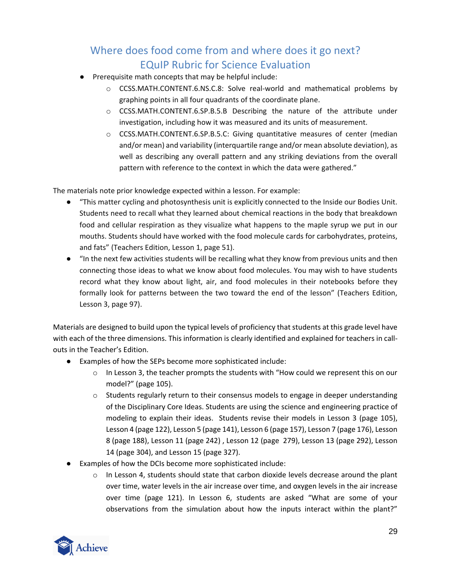- Prerequisite math concepts that may be helpful include:
	- o CCSS.MATH.CONTENT.6.NS.C.8: Solve real-world and mathematical problems by graphing points in all four quadrants of the coordinate plane.
	- o CCSS.MATH.CONTENT.6.SP.B.5.B Describing the nature of the attribute under investigation, including how it was measured and its units of measurement.
	- o CCSS.MATH.CONTENT.6.SP.B.5.C: Giving quantitative measures of center (median and/or mean) and variability (interquartile range and/or mean absolute deviation), as well as describing any overall pattern and any striking deviations from the overall pattern with reference to the context in which the data were gathered."

The materials note prior knowledge expected within a lesson. For example:

- "This matter cycling and photosynthesis unit is explicitly connected to the Inside our Bodies Unit. Students need to recall what they learned about chemical reactions in the body that breakdown food and cellular respiration as they visualize what happens to the maple syrup we put in our mouths. Students should have worked with the food molecule cards for carbohydrates, proteins, and fats" (Teachers Edition, Lesson 1, page 51).
- "In the next few activities students will be recalling what they know from previous units and then connecting those ideas to what we know about food molecules. You may wish to have students record what they know about light, air, and food molecules in their notebooks before they formally look for patterns between the two toward the end of the lesson" (Teachers Edition, Lesson 3, page 97).

Materials are designed to build upon the typical levels of proficiency that students at this grade level have with each of the three dimensions. This information is clearly identified and explained for teachers in callouts in the Teacher's Edition.

- Examples of how the SEPs become more sophisticated include:
	- $\circ$  In Lesson 3, the teacher prompts the students with "How could we represent this on our model?" (page 105).
	- $\circ$  Students regularly return to their consensus models to engage in deeper understanding of the Disciplinary Core Ideas. Students are using the science and engineering practice of modeling to explain their ideas. Students revise their models in Lesson 3 (page 105), Lesson 4 (page 122), Lesson 5 (page 141), Lesson 6 (page 157), Lesson 7 (page 176), Lesson 8 (page 188), Lesson 11 (page 242) , Lesson 12 (page 279), Lesson 13 (page 292), Lesson 14 (page 304), and Lesson 15 (page 327).
- Examples of how the DCIs become more sophisticated include:
	- $\circ$  In Lesson 4, students should state that carbon dioxide levels decrease around the plant over time, water levels in the air increase over time, and oxygen levels in the air increase over time (page 121). In Lesson 6, students are asked "What are some of your observations from the simulation about how the inputs interact within the plant?"

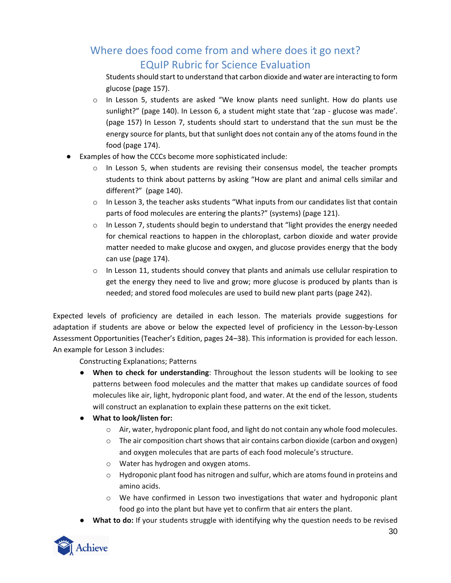Students should start to understand that carbon dioxide and water are interacting to form glucose (page 157).

- $\circ$  In Lesson 5, students are asked "We know plants need sunlight. How do plants use sunlight?" (page 140). In Lesson 6, a student might state that 'zap - glucose was made'. (page 157) In Lesson 7, students should start to understand that the sun must be the energy source for plants, but that sunlight does not contain any of the atoms found in the food (page 174).
- Examples of how the CCCs become more sophisticated include:
	- $\circ$  In Lesson 5, when students are revising their consensus model, the teacher prompts students to think about patterns by asking "How are plant and animal cells similar and different?" (page 140).
	- $\circ$  In Lesson 3, the teacher asks students "What inputs from our candidates list that contain parts of food molecules are entering the plants?" (systems) (page 121).
	- $\circ$  In Lesson 7, students should begin to understand that "light provides the energy needed for chemical reactions to happen in the chloroplast, carbon dioxide and water provide matter needed to make glucose and oxygen, and glucose provides energy that the body can use (page 174).
	- $\circ$  In Lesson 11, students should convey that plants and animals use cellular respiration to get the energy they need to live and grow; more glucose is produced by plants than is needed; and stored food molecules are used to build new plant parts (page 242).

Expected levels of proficiency are detailed in each lesson. The materials provide suggestions for adaptation if students are above or below the expected level of proficiency in the Lesson-by-Lesson Assessment Opportunities (Teacher's Edition, pages 24*–*38). This information is provided for each lesson. An example for Lesson 3 includes:

Constructing Explanations; Patterns

- **When to check for understanding**: Throughout the lesson students will be looking to see patterns between food molecules and the matter that makes up candidate sources of food molecules like air, light, hydroponic plant food, and water. At the end of the lesson, students will construct an explanation to explain these patterns on the exit ticket.
- **What to look/listen for:**
	- $\circ$  Air, water, hydroponic plant food, and light do not contain any whole food molecules.
	- $\circ$  The air composition chart shows that air contains carbon dioxide (carbon and oxygen) and oxygen molecules that are parts of each food molecule's structure.
	- o Water has hydrogen and oxygen atoms.
	- $\circ$  Hydroponic plant food has nitrogen and sulfur, which are atoms found in proteins and amino acids.
	- o We have confirmed in Lesson two investigations that water and hydroponic plant food go into the plant but have yet to confirm that air enters the plant.
- **What to do:** If your students struggle with identifying why the question needs to be revised

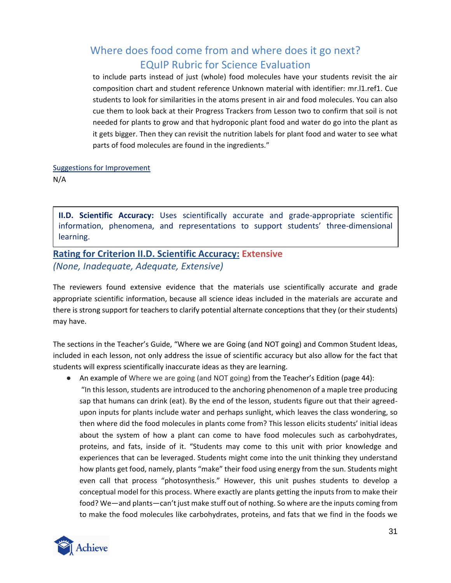to include parts instead of just (whole) food molecules have your students revisit the air composition chart and student reference Unknown material with identifier: mr.l1.ref1. Cue students to look for similarities in the atoms present in air and food molecules. You can also cue them to look back at their Progress Trackers from Lesson two to confirm that soil is not needed for plants to grow and that hydroponic plant food and water do go into the plant as it gets bigger. Then they can revisit the nutrition labels for plant food and water to see what parts of food molecules are found in the ingredients."

### Suggestions for Improvement N/A

**II.D. Scientific Accuracy:** Uses scientifically accurate and grade-appropriate scientific information, phenomena, and representations to support students' three-dimensional learning.

## **Rating for Criterion II.D. Scientific Accuracy: Extensive** *(None, Inadequate, Adequate, Extensive)*

The reviewers found extensive evidence that the materials use scientifically accurate and grade appropriate scientific information, because all science ideas included in the materials are accurate and there is strong support for teachers to clarify potential alternate conceptions that they (or their students) may have.

The sections in the Teacher's Guide, "Where we are Going (and NOT going) and Common Student Ideas, included in each lesson, not only address the issue of scientific accuracy but also allow for the fact that students will express scientifically inaccurate ideas as they are learning.

● An example of Where we are going (and NOT going) from the Teacher's Edition (page 44): "In this lesson, students are introduced to the anchoring phenomenon of a maple tree producing sap that humans can drink (eat). By the end of the lesson, students figure out that their agreedupon inputs for plants include water and perhaps sunlight, which leaves the class wondering, so then where did the food molecules in plants come from? This lesson elicits students' initial ideas about the system of how a plant can come to have food molecules such as carbohydrates, proteins, and fats, inside of it. "Students may come to this unit with prior knowledge and experiences that can be leveraged. Students might come into the unit thinking they understand how plants get food, namely, plants "make" their food using energy from the sun. Students might even call that process "photosynthesis." However, this unit pushes students to develop a conceptual model for this process. Where exactly are plants getting the inputs from to make their food? We—and plants—can't just make stuff out of nothing. So where are the inputs coming from

to make the food molecules like carbohydrates, proteins, and fats that we find in the foods we

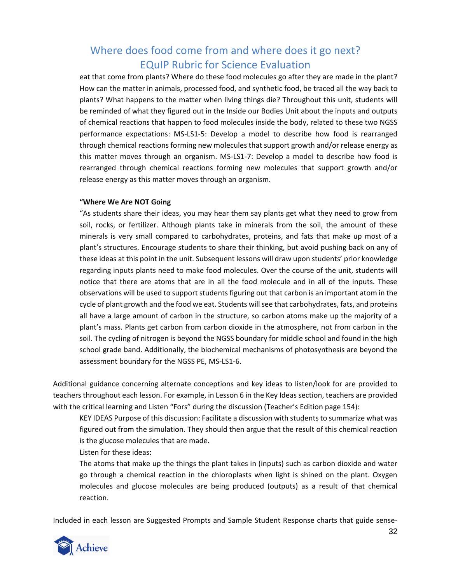eat that come from plants? Where do these food molecules go after they are made in the plant? How can the matter in animals, processed food, and synthetic food, be traced all the way back to plants? What happens to the matter when living things die? Throughout this unit, students will be reminded of what they figured out in the Inside our Bodies Unit about the inputs and outputs of chemical reactions that happen to food molecules inside the body, related to these two NGSS performance expectations: MS-LS1-5: Develop a model to describe how food is rearranged through chemical reactions forming new molecules that support growth and/or release energy as this matter moves through an organism. MS-LS1-7: Develop a model to describe how food is rearranged through chemical reactions forming new molecules that support growth and/or release energy as this matter moves through an organism.

### **"Where We Are NOT Going**

"As students share their ideas, you may hear them say plants get what they need to grow from soil, rocks, or fertilizer. Although plants take in minerals from the soil, the amount of these minerals is very small compared to carbohydrates, proteins, and fats that make up most of a plant's structures. Encourage students to share their thinking, but avoid pushing back on any of these ideas at this point in the unit. Subsequent lessons will draw upon students' prior knowledge regarding inputs plants need to make food molecules. Over the course of the unit, students will notice that there are atoms that are in all the food molecule and in all of the inputs. These observations will be used to support students figuring out that carbon is an important atom in the cycle of plant growth and the food we eat. Students will see that carbohydrates, fats, and proteins all have a large amount of carbon in the structure, so carbon atoms make up the majority of a plant's mass. Plants get carbon from carbon dioxide in the atmosphere, not from carbon in the soil. The cycling of nitrogen is beyond the NGSS boundary for middle school and found in the high school grade band. Additionally, the biochemical mechanisms of photosynthesis are beyond the assessment boundary for the NGSS PE, MS-LS1-6.

Additional guidance concerning alternate conceptions and key ideas to listen/look for are provided to teachers throughout each lesson. For example, in Lesson 6 in the Key Ideas section, teachers are provided with the critical learning and Listen "Fors" during the discussion (Teacher's Edition page 154):

KEY IDEAS Purpose of this discussion: Facilitate a discussion with students to summarize what was figured out from the simulation. They should then argue that the result of this chemical reaction is the glucose molecules that are made.

#### Listen for these ideas:

The atoms that make up the things the plant takes in (inputs) such as carbon dioxide and water go through a chemical reaction in the chloroplasts when light is shined on the plant. Oxygen molecules and glucose molecules are being produced (outputs) as a result of that chemical reaction.

Included in each lesson are Suggested Prompts and Sample Student Response charts that guide sense-

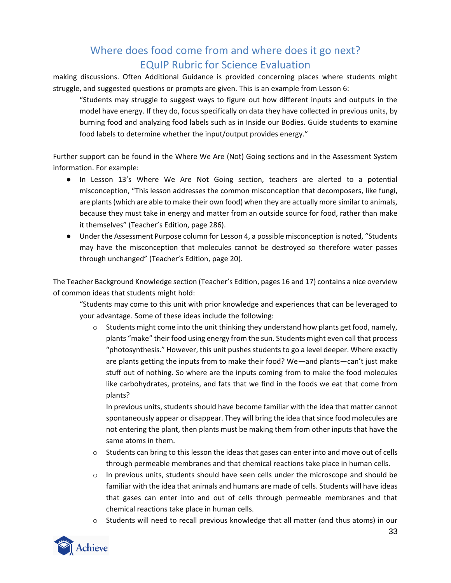making discussions. Often Additional Guidance is provided concerning places where students might struggle, and suggested questions or prompts are given. This is an example from Lesson 6:

"Students may struggle to suggest ways to figure out how different inputs and outputs in the model have energy. If they do, focus specifically on data they have collected in previous units, by burning food and analyzing food labels such as in Inside our Bodies. Guide students to examine food labels to determine whether the input/output provides energy."

Further support can be found in the Where We Are (Not) Going sections and in the Assessment System information. For example:

- In Lesson 13's Where We Are Not Going section, teachers are alerted to a potential misconception, "This lesson addresses the common misconception that decomposers, like fungi, are plants (which are able to make their own food) when they are actually more similar to animals, because they must take in energy and matter from an outside source for food, rather than make it themselves" (Teacher's Edition, page 286).
- Under the Assessment Purpose column for Lesson 4, a possible misconception is noted, "Students may have the misconception that molecules cannot be destroyed so therefore water passes through unchanged" (Teacher's Edition, page 20).

The Teacher Background Knowledge section (Teacher's Edition, pages 16 and 17) contains a nice overview of common ideas that students might hold:

"Students may come to this unit with prior knowledge and experiences that can be leveraged to your advantage. Some of these ideas include the following:

 $\circ$  Students might come into the unit thinking they understand how plants get food, namely, plants "make" their food using energy from the sun. Students might even call that process "photosynthesis." However, this unit pushes students to go a level deeper. Where exactly are plants getting the inputs from to make their food? We—and plants—can't just make stuff out of nothing. So where are the inputs coming from to make the food molecules like carbohydrates, proteins, and fats that we find in the foods we eat that come from plants?

In previous units, students should have become familiar with the idea that matter cannot spontaneously appear or disappear. They will bring the idea that since food molecules are not entering the plant, then plants must be making them from other inputs that have the same atoms in them.

- $\circ$  Students can bring to this lesson the ideas that gases can enter into and move out of cells through permeable membranes and that chemical reactions take place in human cells.
- $\circ$  In previous units, students should have seen cells under the microscope and should be familiar with the idea that animals and humans are made of cells. Students will have ideas that gases can enter into and out of cells through permeable membranes and that chemical reactions take place in human cells.
- $\circ$  Students will need to recall previous knowledge that all matter (and thus atoms) in our

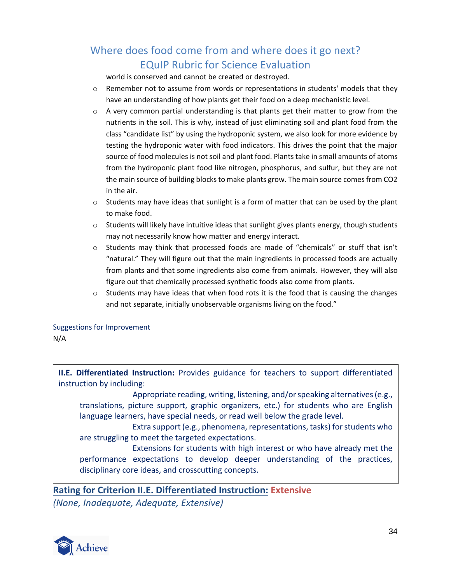world is conserved and cannot be created or destroyed.

- $\circ$  Remember not to assume from words or representations in students' models that they have an understanding of how plants get their food on a deep mechanistic level.
- $\circ$  A very common partial understanding is that plants get their matter to grow from the nutrients in the soil. This is why, instead of just eliminating soil and plant food from the class "candidate list" by using the hydroponic system, we also look for more evidence by testing the hydroponic water with food indicators. This drives the point that the major source of food molecules is not soil and plant food. Plants take in small amounts of atoms from the hydroponic plant food like nitrogen, phosphorus, and sulfur, but they are not the main source of building blocks to make plants grow. The main source comes from CO2 in the air.
- $\circ$  Students may have ideas that sunlight is a form of matter that can be used by the plant to make food.
- $\circ$  Students will likely have intuitive ideas that sunlight gives plants energy, though students may not necessarily know how matter and energy interact.
- $\circ$  Students may think that processed foods are made of "chemicals" or stuff that isn't "natural." They will figure out that the main ingredients in processed foods are actually from plants and that some ingredients also come from animals. However, they will also figure out that chemically processed synthetic foods also come from plants.
- $\circ$  Students may have ideas that when food rots it is the food that is causing the changes and not separate, initially unobservable organisms living on the food."

Suggestions for Improvement

N/A

**II.E. Differentiated Instruction:** Provides guidance for teachers to support differentiated instruction by including:

Appropriate reading, writing, listening, and/or speaking alternatives (e.g., translations, picture support, graphic organizers, etc.) for students who are English language learners, have special needs, or read well below the grade level.

Extra support (e.g., phenomena, representations, tasks) for students who are struggling to meet the targeted expectations.

Extensions for students with high interest or who have already met the performance expectations to develop deeper understanding of the practices, disciplinary core ideas, and crosscutting concepts.

### **Rating for Criterion II.E. Differentiated Instruction: Extensive**

*(None, Inadequate, Adequate, Extensive)*

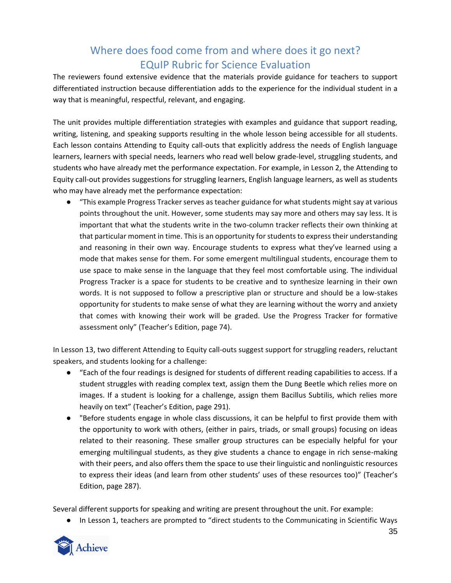The reviewers found extensive evidence that the materials provide guidance for teachers to support differentiated instruction because differentiation adds to the experience for the individual student in a way that is meaningful, respectful, relevant, and engaging.

The unit provides multiple differentiation strategies with examples and guidance that support reading, writing, listening, and speaking supports resulting in the whole lesson being accessible for all students. Each lesson contains Attending to Equity call-outs that explicitly address the needs of English language learners, learners with special needs, learners who read well below grade-level, struggling students, and students who have already met the performance expectation. For example, in Lesson 2, the Attending to Equity call-out provides suggestions for struggling learners, English language learners, as well as students who may have already met the performance expectation:

● "This example Progress Tracker serves as teacher guidance for what students might say at various points throughout the unit. However, some students may say more and others may say less. It is important that what the students write in the two-column tracker reflects their own thinking at that particular moment in time. This is an opportunity for students to express their understanding and reasoning in their own way. Encourage students to express what they've learned using a mode that makes sense for them. For some emergent multilingual students, encourage them to use space to make sense in the language that they feel most comfortable using. The individual Progress Tracker is a space for students to be creative and to synthesize learning in their own words. It is not supposed to follow a prescriptive plan or structure and should be a low-stakes opportunity for students to make sense of what they are learning without the worry and anxiety that comes with knowing their work will be graded. Use the Progress Tracker for formative assessment only" (Teacher's Edition, page 74).

In Lesson 13, two different Attending to Equity call-outs suggest support for struggling readers, reluctant speakers, and students looking for a challenge:

- "Each of the four readings is designed for students of different reading capabilities to access. If a student struggles with reading complex text, assign them the Dung Beetle which relies more on images. If a student is looking for a challenge, assign them Bacillus Subtilis, which relies more heavily on text" (Teacher's Edition, page 291).
- "Before students engage in whole class discussions, it can be helpful to first provide them with the opportunity to work with others, (either in pairs, triads, or small groups) focusing on ideas related to their reasoning. These smaller group structures can be especially helpful for your emerging multilingual students, as they give students a chance to engage in rich sense-making with their peers, and also offers them the space to use their linguistic and nonlinguistic resources to express their ideas (and learn from other students' uses of these resources too)" (Teacher's Edition, page 287).

Several different supports for speaking and writing are present throughout the unit. For example:

● In Lesson 1, teachers are prompted to "direct students to the Communicating in Scientific Ways

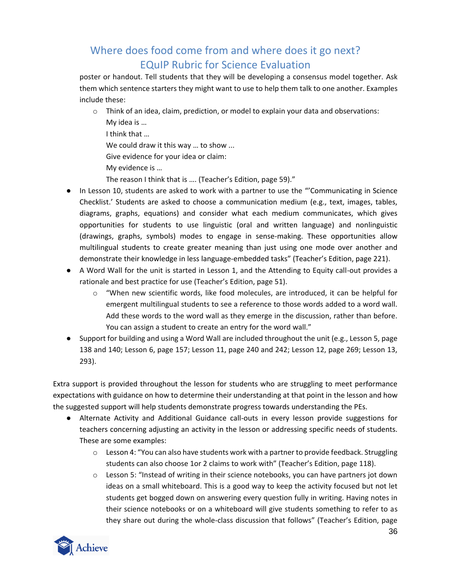poster or handout. Tell students that they will be developing a consensus model together. Ask them which sentence starters they might want to use to help them talk to one another. Examples include these:

- $\circ$  Think of an idea, claim, prediction, or model to explain your data and observations:
	- My idea is …
	- I think that …
	- We could draw it this way ... to show ...
	- Give evidence for your idea or claim:
	- My evidence is …
	- The reason I think that is …. (Teacher's Edition, page 59)."
- In Lesson 10, students are asked to work with a partner to use the "'Communicating in Science Checklist.' Students are asked to choose a communication medium (e.g., text, images, tables, diagrams, graphs, equations) and consider what each medium communicates, which gives opportunities for students to use linguistic (oral and written language) and nonlinguistic (drawings, graphs, symbols) modes to engage in sense-making. These opportunities allow multilingual students to create greater meaning than just using one mode over another and demonstrate their knowledge in less language-embedded tasks" (Teacher's Edition, page 221).
- A Word Wall for the unit is started in Lesson 1, and the Attending to Equity call-out provides a rationale and best practice for use (Teacher's Edition, page 51).
	- $\circ$  "When new scientific words, like food molecules, are introduced, it can be helpful for emergent multilingual students to see a reference to those words added to a word wall. Add these words to the word wall as they emerge in the discussion, rather than before. You can assign a student to create an entry for the word wall."
- Support for building and using a Word Wall are included throughout the unit (e.g., Lesson 5, page 138 and 140; Lesson 6, page 157; Lesson 11, page 240 and 242; Lesson 12, page 269; Lesson 13, 293).

Extra support is provided throughout the lesson for students who are struggling to meet performance expectations with guidance on how to determine their understanding at that point in the lesson and how the suggested support will help students demonstrate progress towards understanding the PEs.

- Alternate Activity and Additional Guidance call-outs in every lesson provide suggestions for teachers concerning adjusting an activity in the lesson or addressing specific needs of students. These are some examples:
	- $\circ$  Lesson 4: "You can also have students work with a partner to provide feedback. Struggling students can also choose 1or 2 claims to work with" (Teacher's Edition, page 118).
	- $\circ$  Lesson 5: "Instead of writing in their science notebooks, you can have partners jot down ideas on a small whiteboard. This is a good way to keep the activity focused but not let students get bogged down on answering every question fully in writing. Having notes in their science notebooks or on a whiteboard will give students something to refer to as they share out during the whole-class discussion that follows" (Teacher's Edition, page

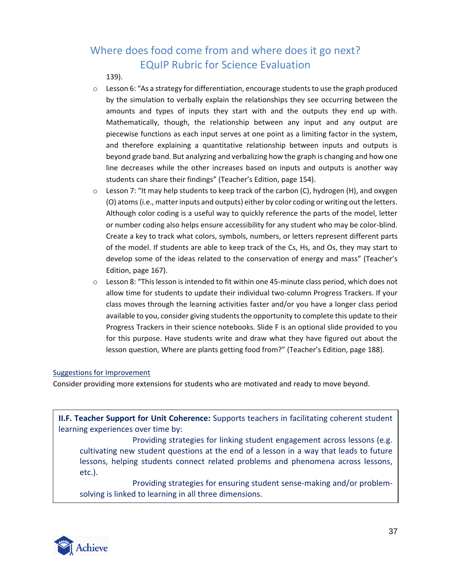139).

- $\circ$  Lesson 6: "As a strategy for differentiation, encourage students to use the graph produced by the simulation to verbally explain the relationships they see occurring between the amounts and types of inputs they start with and the outputs they end up with. Mathematically, though, the relationship between any input and any output are piecewise functions as each input serves at one point as a limiting factor in the system, and therefore explaining a quantitative relationship between inputs and outputs is beyond grade band. But analyzing and verbalizing how the graph is changing and how one line decreases while the other increases based on inputs and outputs is another way students can share their findings" (Teacher's Edition, page 154).
- $\circ$  Lesson 7: "It may help students to keep track of the carbon (C), hydrogen (H), and oxygen (O) atoms (i.e., matter inputs and outputs) either by color coding or writing out the letters. Although color coding is a useful way to quickly reference the parts of the model, letter or number coding also helps ensure accessibility for any student who may be color-blind. Create a key to track what colors, symbols, numbers, or letters represent different parts of the model. If students are able to keep track of the Cs, Hs, and Os, they may start to develop some of the ideas related to the conservation of energy and mass" (Teacher's Edition, page 167).
- $\circ$  Lesson 8: "This lesson is intended to fit within one 45-minute class period, which does not allow time for students to update their individual two-column Progress Trackers. If your class moves through the learning activities faster and/or you have a longer class period available to you, consider giving students the opportunity to complete this update to their Progress Trackers in their science notebooks. Slide F is an optional slide provided to you for this purpose. Have students write and draw what they have figured out about the lesson question, Where are plants getting food from?" (Teacher's Edition, page 188).

### Suggestions for Improvement

Consider providing more extensions for students who are motivated and ready to move beyond.

**II.F. Teacher Support for Unit Coherence:** Supports teachers in facilitating coherent student learning experiences over time by:

Providing strategies for linking student engagement across lessons (e.g. cultivating new student questions at the end of a lesson in a way that leads to future lessons, helping students connect related problems and phenomena across lessons, etc.).

Providing strategies for ensuring student sense-making and/or problemsolving is linked to learning in all three dimensions.

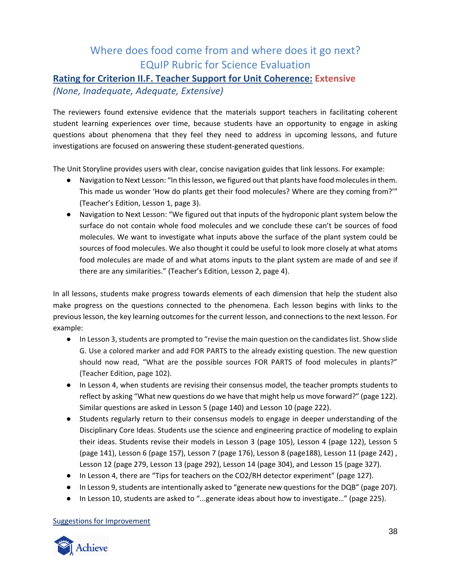### **Rating for Criterion II.F. Teacher Support for Unit Coherence: Extensive**

### *(None, Inadequate, Adequate, Extensive)*

The reviewers found extensive evidence that the materials support teachers in facilitating coherent student learning experiences over time, because students have an opportunity to engage in asking questions about phenomena that they feel they need to address in upcoming lessons, and future investigations are focused on answering these student-generated questions.

The Unit Storyline provides users with clear, concise navigation guides that link lessons. For example:

- Navigation to Next Lesson: "In this lesson, we figured out that plants have food molecules in them. This made us wonder 'How do plants get their food molecules? Where are they coming from?'" (Teacher's Edition, Lesson 1, page 3).
- Navigation to Next Lesson: "We figured out that inputs of the hydroponic plant system below the surface do not contain whole food molecules and we conclude these can't be sources of food molecules. We want to investigate what inputs above the surface of the plant system could be sources of food molecules. We also thought it could be useful to look more closely at what atoms food molecules are made of and what atoms inputs to the plant system are made of and see if there are any similarities." (Teacher's Edition, Lesson 2, page 4).

In all lessons, students make progress towards elements of each dimension that help the student also make progress on the questions connected to the phenomena. Each lesson begins with links to the previous lesson, the key learning outcomes for the current lesson, and connections to the next lesson. For example:

- In Lesson 3, students are prompted to "revise the main question on the candidates list. Show slide G. Use a colored marker and add FOR PARTS to the already existing question. The new question should now read, "What are the possible sources FOR PARTS of food molecules in plants?" (Teacher Edition, page 102).
- In Lesson 4, when students are revising their consensus model, the teacher prompts students to reflect by asking "What new questions do we have that might help us move forward?" (page 122). Similar questions are asked in Lesson 5 (page 140) and Lesson 10 (page 222).
- Students regularly return to their consensus models to engage in deeper understanding of the Disciplinary Core Ideas. Students use the science and engineering practice of modeling to explain their ideas. Students revise their models in Lesson 3 (page 105), Lesson 4 (page 122), Lesson 5 (page 141), Lesson 6 (page 157), Lesson 7 (page 176), Lesson 8 (page188), Lesson 11 (page 242) , Lesson 12 (page 279, Lesson 13 (page 292), Lesson 14 (page 304), and Lesson 15 (page 327).
- In Lesson 4, there are "Tips for teachers on the CO2/RH detector experiment" (page 127).
- In Lesson 9, students are intentionally asked to "generate new questions for the DQB" (page 207).
- In Lesson 10, students are asked to "...generate ideas about how to investigate..." (page 225).

### Suggestions for Improvement

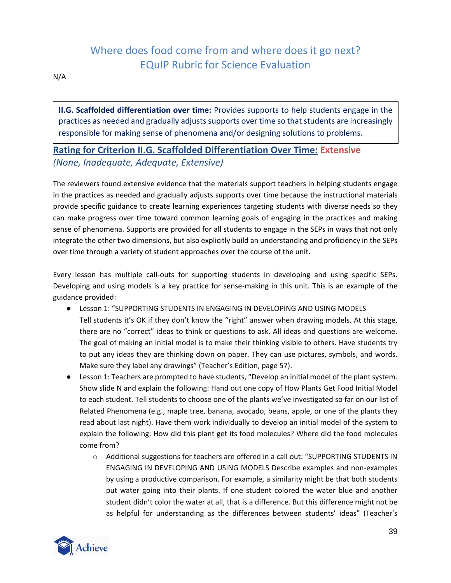N/A

**II.G. Scaffolded differentiation over time:** Provides supports to help students engage in the practices as needed and gradually adjusts supports over time so that students are increasingly responsible for making sense of phenomena and/or designing solutions to problems.

## **Rating for Criterion II.G. Scaffolded Differentiation Over Time: Extensive** *(None, Inadequate, Adequate, Extensive)*

The reviewers found extensive evidence that the materials support teachers in helping students engage in the practices as needed and gradually adjusts supports over time because the instructional materials provide specific guidance to create learning experiences targeting students with diverse needs so they can make progress over time toward common learning goals of engaging in the practices and making sense of phenomena. Supports are provided for all students to engage in the SEPs in ways that not only integrate the other two dimensions, but also explicitly build an understanding and proficiency in the SEPs over time through a variety of student approaches over the course of the unit.

Every lesson has multiple call-outs for supporting students in developing and using specific SEPs. Developing and using models is a key practice for sense-making in this unit. This is an example of the guidance provided:

- Lesson 1: "SUPPORTING STUDENTS IN ENGAGING IN DEVELOPING AND USING MODELS Tell students it's OK if they don't know the "right" answer when drawing models. At this stage, there are no "correct" ideas to think or questions to ask. All ideas and questions are welcome. The goal of making an initial model is to make their thinking visible to others. Have students try to put any ideas they are thinking down on paper. They can use pictures, symbols, and words. Make sure they label any drawings" (Teacher's Edition, page 57).
- Lesson 1: Teachers are prompted to have students, "Develop an initial model of the plant system. Show slide N and explain the following: Hand out one copy of How Plants Get Food Initial Model to each student. Tell students to choose one of the plants we've investigated so far on our list of Related Phenomena (e.g., maple tree, banana, avocado, beans, apple, or one of the plants they read about last night). Have them work individually to develop an initial model of the system to explain the following: How did this plant get its food molecules? Where did the food molecules come from?
	- o Additional suggestions for teachers are offered in a call out: "SUPPORTING STUDENTS IN ENGAGING IN DEVELOPING AND USING MODELS Describe examples and non-examples by using a productive comparison. For example, a similarity might be that both students put water going into their plants. If one student colored the water blue and another student didn't color the water at all, that is a difference. But this difference might not be as helpful for understanding as the differences between students' ideas" (Teacher's

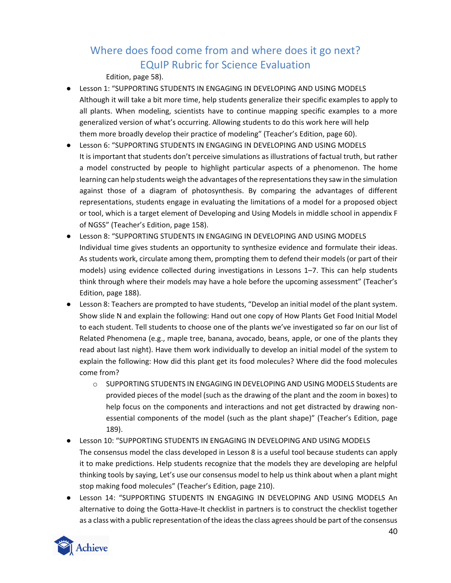Edition, page 58).

- Lesson 1: "SUPPORTING STUDENTS IN ENGAGING IN DEVELOPING AND USING MODELS Although it will take a bit more time, help students generalize their specific examples to apply to all plants. When modeling, scientists have to continue mapping specific examples to a more generalized version of what's occurring. Allowing students to do this work here will help them more broadly develop their practice of modeling" (Teacher's Edition, page 60).
- Lesson 6: "SUPPORTING STUDENTS IN ENGAGING IN DEVELOPING AND USING MODELS It is important that students don't perceive simulations as illustrations of factual truth, but rather a model constructed by people to highlight particular aspects of a phenomenon. The home learning can help students weigh the advantages of the representations they saw in the simulation against those of a diagram of photosynthesis. By comparing the advantages of different representations, students engage in evaluating the limitations of a model for a proposed object or tool, which is a target element of Developing and Using Models in middle school in appendix F of NGSS" (Teacher's Edition, page 158).
- Lesson 8: "SUPPORTING STUDENTS IN ENGAGING IN DEVELOPING AND USING MODELS Individual time gives students an opportunity to synthesize evidence and formulate their ideas. As students work, circulate among them, prompting them to defend their models (or part of their models) using evidence collected during investigations in Lessons 1–7. This can help students think through where their models may have a hole before the upcoming assessment" (Teacher's Edition, page 188).
- Lesson 8: Teachers are prompted to have students, "Develop an initial model of the plant system. Show slide N and explain the following: Hand out one copy of How Plants Get Food Initial Model to each student. Tell students to choose one of the plants we've investigated so far on our list of Related Phenomena (e.g., maple tree, banana, avocado, beans, apple, or one of the plants they read about last night). Have them work individually to develop an initial model of the system to explain the following: How did this plant get its food molecules? Where did the food molecules come from?
	- o SUPPORTING STUDENTS IN ENGAGING IN DEVELOPING AND USING MODELS Students are provided pieces of the model (such as the drawing of the plant and the zoom in boxes) to help focus on the components and interactions and not get distracted by drawing nonessential components of the model (such as the plant shape)" (Teacher's Edition, page 189).
- Lesson 10: "SUPPORTING STUDENTS IN ENGAGING IN DEVELOPING AND USING MODELS The consensus model the class developed in Lesson 8 is a useful tool because students can apply it to make predictions. Help students recognize that the models they are developing are helpful thinking tools by saying, Let's use our consensus model to help us think about when a plant might stop making food molecules" (Teacher's Edition, page 210).
- Lesson 14: "SUPPORTING STUDENTS IN ENGAGING IN DEVELOPING AND USING MODELS An alternative to doing the Gotta-Have-It checklist in partners is to construct the checklist together as a class with a public representation of the ideas the class agrees should be part of the consensus

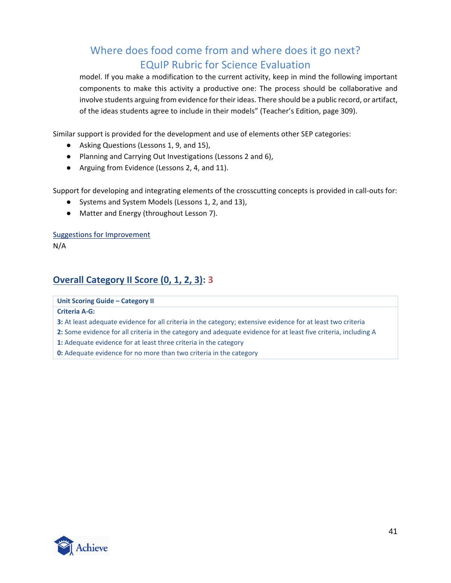model. If you make a modification to the current activity, keep in mind the following important components to make this activity a productive one: The process should be collaborative and involve students arguing from evidence for their ideas. There should be a public record, or artifact, of the ideas students agree to include in their models" (Teacher's Edition, page 309).

Similar support is provided for the development and use of elements other SEP categories:

- Asking Questions (Lessons 1, 9, and 15),
- Planning and Carrying Out Investigations (Lessons 2 and 6),
- Arguing from Evidence (Lessons 2, 4, and 11).

Support for developing and integrating elements of the crosscutting concepts is provided in call-outs for:

- Systems and System Models (Lessons 1, 2, and 13),
- Matter and Energy (throughout Lesson 7).

Suggestions for Improvement

N/A

## **Overall Category II Score (0, 1, 2, 3): 3**

**Unit Scoring Guide – Category II**

**Criteria A‐G:**

**3:** At least adequate evidence for all criteria in the category; extensive evidence for at least two criteria

- **2:** Some evidence for all criteria in the category and adequate evidence for at least five criteria, including A
- **1:** Adequate evidence for at least three criteria in the category
- **0:** Adequate evidence for no more than two criteria in the category

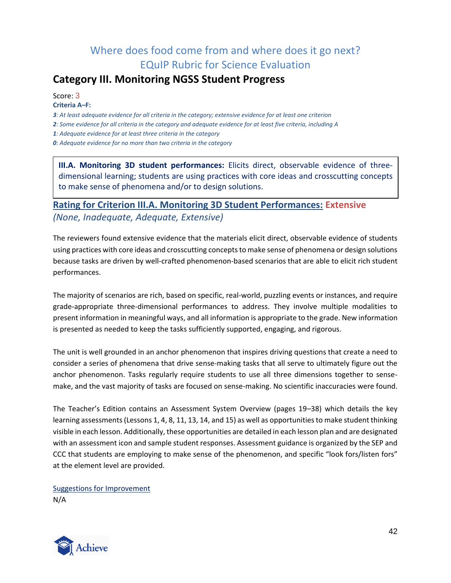## <span id="page-41-0"></span>**Category III. Monitoring NGSS Student Progress**

Score: 3 **Criteria A***–***F:**

*3: At least adequate evidence for all criteria in the category; extensive evidence for at least one criterion*

*2: Some evidence for all criteria in the category and adequate evidence for at least five criteria, including A*

*1: Adequate evidence for at least three criteria in the category*

*0: Adequate evidence for no more than two criteria in the category*

**III.A. Monitoring 3D student performances:** Elicits direct, observable evidence of threedimensional learning; students are using practices with core ideas and crosscutting concepts to make sense of phenomena and/or to design solutions.

## **Rating for Criterion III.A. Monitoring 3D Student Performances: Extensive** *(None, Inadequate, Adequate, Extensive)*

The reviewers found extensive evidence that the materials elicit direct, observable evidence of students using practices with core ideas and crosscutting concepts to make sense of phenomena or design solutions because tasks are driven by well-crafted phenomenon-based scenarios that are able to elicit rich student performances.

The majority of scenarios are rich, based on specific, real-world, puzzling events or instances, and require grade-appropriate three-dimensional performances to address. They involve multiple modalities to present information in meaningful ways, and all information is appropriate to the grade. New information is presented as needed to keep the tasks sufficiently supported, engaging, and rigorous.

The unit is well grounded in an anchor phenomenon that inspires driving questions that create a need to consider a series of phenomena that drive sense-making tasks that all serve to ultimately figure out the anchor phenomenon. Tasks regularly require students to use all three dimensions together to sensemake, and the vast majority of tasks are focused on sense-making. No scientific inaccuracies were found.

The Teacher's Edition contains an Assessment System Overview (pages 19*–*38) which details the key learning assessments (Lessons 1, 4, 8, 11, 13, 14, and 15) as well as opportunities to make student thinking visible in each lesson. Additionally, these opportunities are detailed in each lesson plan and are designated with an assessment icon and sample student responses. Assessment guidance is organized by the SEP and CCC that students are employing to make sense of the phenomenon, and specific "look fors/listen fors" at the element level are provided.

Suggestions for Improvement N/A

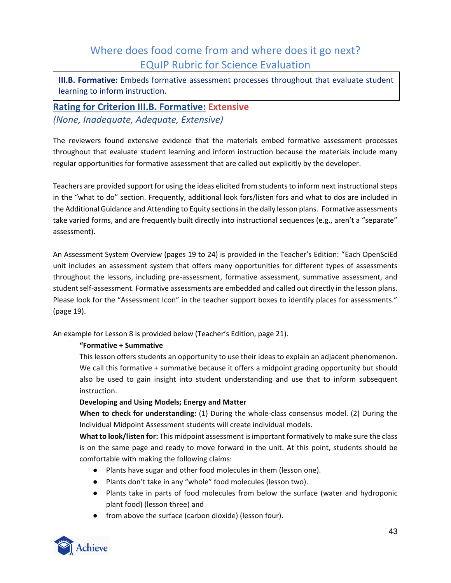**III.B. Formative:** Embeds formative assessment processes throughout that evaluate student learning to inform instruction.

## **Rating for Criterion III.B. Formative: Extensive** *(None, Inadequate, Adequate, Extensive)*

The reviewers found extensive evidence that the materials embed formative assessment processes throughout that evaluate student learning and inform instruction because the materials include many regular opportunities for formative assessment that are called out explicitly by the developer.

Teachers are provided support for using the ideas elicited from students to inform next instructional steps in the "what to do" section. Frequently, additional look fors/listen fors and what to dos are included in the Additional Guidance and Attending to Equity sections in the daily lesson plans. Formative assessments take varied forms, and are frequently built directly into instructional sequences (e.g., aren't a "separate" assessment).

An Assessment System Overview (pages 19 to 24) is provided in the Teacher's Edition: "Each OpenSciEd unit includes an assessment system that offers many opportunities for different types of assessments throughout the lessons, including pre-assessment, formative assessment, summative assessment, and student self-assessment. Formative assessments are embedded and called out directly in the lesson plans. Please look for the "Assessment Icon" in the teacher support boxes to identify places for assessments." (page 19).

An example for Lesson 8 is provided below (Teacher's Edition, page 21).

### **"Formative + Summative**

This lesson offers students an opportunity to use their ideas to explain an adjacent phenomenon. We call this formative + summative because it offers a midpoint grading opportunity but should also be used to gain insight into student understanding and use that to inform subsequent instruction.

### **Developing and Using Models; Energy and Matter**

**When to check for understanding:** (1) During the whole-class consensus model. (2) During the Individual Midpoint Assessment students will create individual models.

**What to look/listen for:** This midpoint assessment is important formatively to make sure the class is on the same page and ready to move forward in the unit. At this point, students should be comfortable with making the following claims:

- Plants have sugar and other food molecules in them (lesson one).
- Plants don't take in any "whole" food molecules (lesson two).
- Plants take in parts of food molecules from below the surface (water and hydroponic plant food) (lesson three) and
- from above the surface (carbon dioxide) (lesson four).

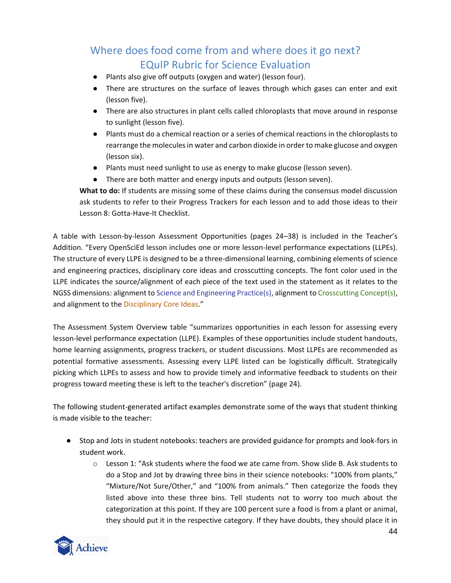- Plants also give off outputs (oxygen and water) (lesson four).
- There are structures on the surface of leaves through which gases can enter and exit (lesson five).
- There are also structures in plant cells called chloroplasts that move around in response to sunlight (lesson five).
- Plants must do a chemical reaction or a series of chemical reactions in the chloroplasts to rearrange the molecules in water and carbon dioxide in order to make glucose and oxygen (lesson six).
- Plants must need sunlight to use as energy to make glucose (lesson seven).
- There are both matter and energy inputs and outputs (lesson seven).

**What to do:** If students are missing some of these claims during the consensus model discussion ask students to refer to their Progress Trackers for each lesson and to add those ideas to their Lesson 8: Gotta-Have-It Checklist.

A table with Lesson-by-lesson Assessment Opportunities (pages 24*–*38) is included in the Teacher's Addition. "Every OpenSciEd lesson includes one or more lesson-level performance expectations (LLPEs). The structure of every LLPE is designed to be a three-dimensional learning, combining elements of science and engineering practices, disciplinary core ideas and crosscutting concepts. The font color used in the LLPE indicates the source/alignment of each piece of the text used in the statement as it relates to the NGSS dimensions: alignment to Science and Engineering Practice(s), alignment to Crosscutting Concept(s), and alignment to the Disciplinary Core Ideas."

The Assessment System Overview table "summarizes opportunities in each lesson for assessing every lesson-level performance expectation (LLPE). Examples of these opportunities include student handouts, home learning assignments, progress trackers, or student discussions. Most LLPEs are recommended as potential formative assessments. Assessing every LLPE listed can be logistically difficult. Strategically picking which LLPEs to assess and how to provide timely and informative feedback to students on their progress toward meeting these is left to the teacher's discretion" (page 24).

The following student-generated artifact examples demonstrate some of the ways that student thinking is made visible to the teacher:

- Stop and Jots in student notebooks: teachers are provided guidance for prompts and look-fors in student work.
	- $\circ$  Lesson 1: "Ask students where the food we ate came from. Show slide B. Ask students to do a Stop and Jot by drawing three bins in their science notebooks: "100% from plants," "Mixture/Not Sure/Other," and "100% from animals." Then categorize the foods they listed above into these three bins. Tell students not to worry too much about the categorization at this point. If they are 100 percent sure a food is from a plant or animal, they should put it in the respective category. If they have doubts, they should place it in

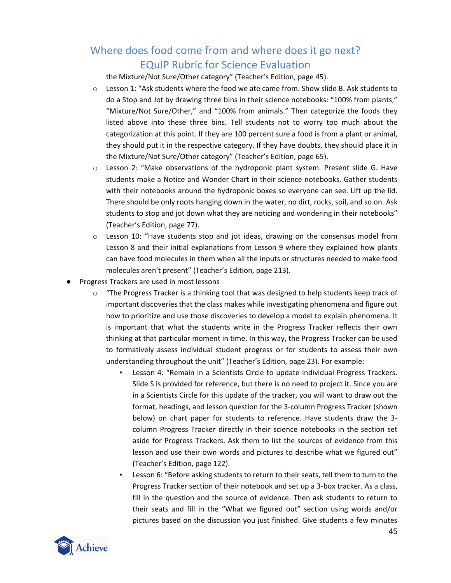the Mixture/Not Sure/Other category" (Teacher's Edition, page 45).

- o Lesson 1: "Ask students where the food we ate came from. Show slide B. Ask students to do a Stop and Jot by drawing three bins in their science notebooks: "100% from plants," "Mixture/Not Sure/Other," and "100% from animals." Then categorize the foods they listed above into these three bins. Tell students not to worry too much about the categorization at this point. If they are 100 percent sure a food is from a plant or animal, they should put it in the respective category. If they have doubts, they should place it in the Mixture/Not Sure/Other category" (Teacher's Edition, page 65).
- $\circ$  Lesson 2: "Make observations of the hydroponic plant system. Present slide G. Have students make a Notice and Wonder Chart in their science notebooks. Gather students with their notebooks around the hydroponic boxes so everyone can see. Lift up the lid. There should be only roots hanging down in the water, no dirt, rocks, soil, and so on. Ask students to stop and jot down what they are noticing and wondering in their notebooks" (Teacher's Edition, page 77).
- $\circ$  Lesson 10: "Have students stop and jot ideas, drawing on the consensus model from Lesson 8 and their initial explanations from Lesson 9 where they explained how plants can have food molecules in them when all the inputs or structures needed to make food molecules aren't present" (Teacher's Edition, page 213).
- Progress Trackers are used in most lessons
	- $\circ$  "The Progress Tracker is a thinking tool that was designed to help students keep track of important discoveries that the class makes while investigating phenomena and figure out how to prioritize and use those discoveries to develop a model to explain phenomena. It is important that what the students write in the Progress Tracker reflects their own thinking at that particular moment in time. In this way, the Progress Tracker can be used to formatively assess individual student progress or for students to assess their own understanding throughout the unit" (Teacher's Edition, page 23). For example:
		- Lesson 4: "Remain in a Scientists Circle to update individual Progress Trackers. Slide S is provided for reference, but there is no need to project it. Since you are in a Scientists Circle for this update of the tracker, you will want to draw out the format, headings, and lesson question for the 3-column Progress Tracker (shown below) on chart paper for students to reference. Have students draw the 3 column Progress Tracker directly in their science notebooks in the section set aside for Progress Trackers. Ask them to list the sources of evidence from this lesson and use their own words and pictures to describe what we figured out" (Teacher's Edition, page 122).
		- Lesson 6: "Before asking students to return to their seats, tell them to turn to the Progress Tracker section of their notebook and set up a 3-box tracker. As a class, fill in the question and the source of evidence. Then ask students to return to their seats and fill in the "What we figured out" section using words and/or pictures based on the discussion you just finished. Give students a few minutes

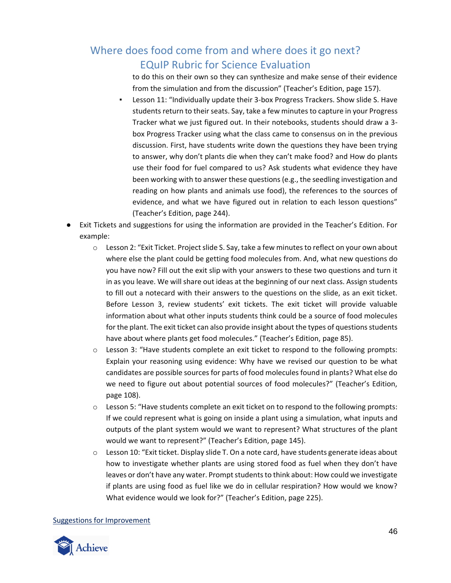to do this on their own so they can synthesize and make sense of their evidence from the simulation and from the discussion" (Teacher's Edition, page 157).

- Lesson 11: "Individually update their 3-box Progress Trackers. Show slide S. Have students return to their seats. Say, take a few minutes to capture in your Progress Tracker what we just figured out. In their notebooks, students should draw a 3 box Progress Tracker using what the class came to consensus on in the previous discussion. First, have students write down the questions they have been trying to answer, why don't plants die when they can't make food? and How do plants use their food for fuel compared to us? Ask students what evidence they have been working with to answer these questions (e.g., the seedling investigation and reading on how plants and animals use food), the references to the sources of evidence, and what we have figured out in relation to each lesson questions" (Teacher's Edition, page 244).
- Exit Tickets and suggestions for using the information are provided in the Teacher's Edition. For example:
	- $\circ$  Lesson 2: "Exit Ticket. Project slide S. Say, take a few minutes to reflect on your own about where else the plant could be getting food molecules from. And, what new questions do you have now? Fill out the exit slip with your answers to these two questions and turn it in as you leave. We will share out ideas at the beginning of our next class. Assign students to fill out a notecard with their answers to the questions on the slide, as an exit ticket. Before Lesson 3, review students' exit tickets. The exit ticket will provide valuable information about what other inputs students think could be a source of food molecules for the plant. The exit ticket can also provide insight about the types of questions students have about where plants get food molecules." (Teacher's Edition, page 85).
	- $\circ$  Lesson 3: "Have students complete an exit ticket to respond to the following prompts: Explain your reasoning using evidence: Why have we revised our question to be what candidates are possible sources for parts of food molecules found in plants? What else do we need to figure out about potential sources of food molecules?" (Teacher's Edition, page 108).
	- $\circ$  Lesson 5: "Have students complete an exit ticket on to respond to the following prompts: If we could represent what is going on inside a plant using a simulation, what inputs and outputs of the plant system would we want to represent? What structures of the plant would we want to represent?" (Teacher's Edition, page 145).
	- $\circ$  Lesson 10: "Exit ticket. Display slide T. On a note card, have students generate ideas about how to investigate whether plants are using stored food as fuel when they don't have leaves or don't have any water. Prompt students to think about: How could we investigate if plants are using food as fuel like we do in cellular respiration? How would we know? What evidence would we look for?" (Teacher's Edition, page 225).

### Suggestions for Improvement

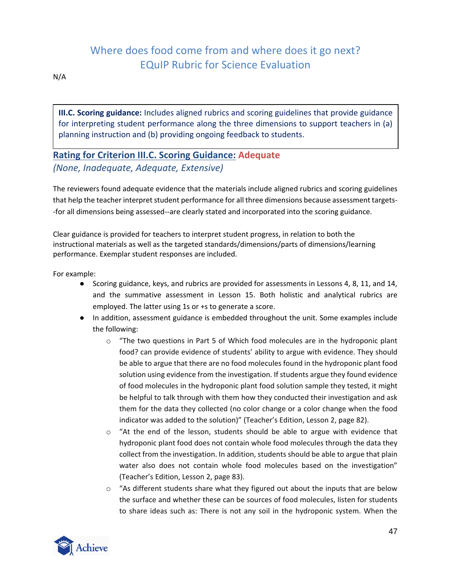N/A

**III.C. Scoring guidance:** Includes aligned rubrics and scoring guidelines that provide guidance for interpreting student performance along the three dimensions to support teachers in (a) planning instruction and (b) providing ongoing feedback to students.

## **Rating for Criterion III.C. Scoring Guidance: Adequate** *(None, Inadequate, Adequate, Extensive)*

The reviewers found adequate evidence that the materials include aligned rubrics and scoring guidelines that help the teacher interpret student performance for all three dimensions because assessment targets- -for all dimensions being assessed--are clearly stated and incorporated into the scoring guidance.

Clear guidance is provided for teachers to interpret student progress, in relation to both the instructional materials as well as the targeted standards/dimensions/parts of dimensions/learning performance. Exemplar student responses are included.

For example:

- Scoring guidance, keys, and rubrics are provided for assessments in Lessons 4, 8, 11, and 14, and the summative assessment in Lesson 15. Both holistic and analytical rubrics are employed. The latter using 1s or +s to generate a score.
- In addition, assessment guidance is embedded throughout the unit. Some examples include the following:
	- $\circ$  "The two questions in Part 5 of Which food molecules are in the hydroponic plant food? can provide evidence of students' ability to argue with evidence. They should be able to argue that there are no food molecules found in the hydroponic plant food solution using evidence from the investigation. If students argue they found evidence of food molecules in the hydroponic plant food solution sample they tested, it might be helpful to talk through with them how they conducted their investigation and ask them for the data they collected (no color change or a color change when the food indicator was added to the solution)" (Teacher's Edition, Lesson 2, page 82).
	- $\circ$  "At the end of the lesson, students should be able to argue with evidence that hydroponic plant food does not contain whole food molecules through the data they collect from the investigation. In addition, students should be able to argue that plain water also does not contain whole food molecules based on the investigation" (Teacher's Edition, Lesson 2, page 83).
	- $\circ$  "As different students share what they figured out about the inputs that are below the surface and whether these can be sources of food molecules, listen for students to share ideas such as: There is not any soil in the hydroponic system. When the

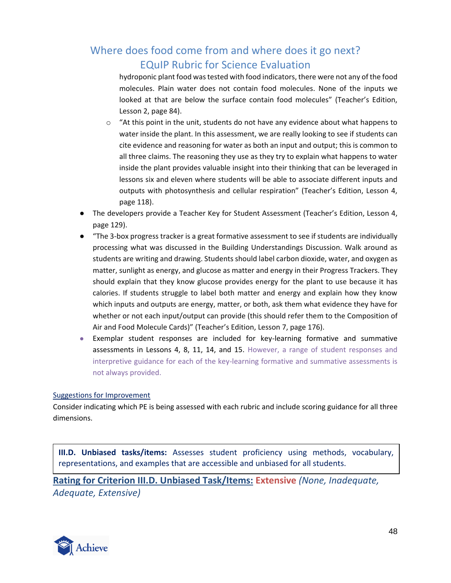hydroponic plant food was tested with food indicators, there were not any of the food molecules. Plain water does not contain food molecules. None of the inputs we looked at that are below the surface contain food molecules" (Teacher's Edition, Lesson 2, page 84).

- $\circ$  "At this point in the unit, students do not have any evidence about what happens to water inside the plant. In this assessment, we are really looking to see if students can cite evidence and reasoning for water as both an input and output; this is common to all three claims. The reasoning they use as they try to explain what happens to water inside the plant provides valuable insight into their thinking that can be leveraged in lessons six and eleven where students will be able to associate different inputs and outputs with photosynthesis and cellular respiration" (Teacher's Edition, Lesson 4, page 118).
- The developers provide a Teacher Key for Student Assessment (Teacher's Edition, Lesson 4, page 129).
- "The 3-box progress tracker is a great formative assessment to see if students are individually processing what was discussed in the Building Understandings Discussion. Walk around as students are writing and drawing. Students should label carbon dioxide, water, and oxygen as matter, sunlight as energy, and glucose as matter and energy in their Progress Trackers. They should explain that they know glucose provides energy for the plant to use because it has calories. If students struggle to label both matter and energy and explain how they know which inputs and outputs are energy, matter, or both, ask them what evidence they have for whether or not each input/output can provide (this should refer them to the Composition of Air and Food Molecule Cards)" (Teacher's Edition, Lesson 7, page 176).
- Exemplar student responses are included for key-learning formative and summative assessments in Lessons 4, 8, 11, 14, and 15. However, a range of student responses and interpretive guidance for each of the key-learning formative and summative assessments is not always provided.

### Suggestions for Improvement

Consider indicating which PE is being assessed with each rubric and include scoring guidance for all three dimensions.

**III.D. Unbiased tasks/items:** Assesses student proficiency using methods, vocabulary, representations, and examples that are accessible and unbiased for all students.

**Rating for Criterion III.D. Unbiased Task/Items: Extensive** *(None, Inadequate, Adequate, Extensive)*

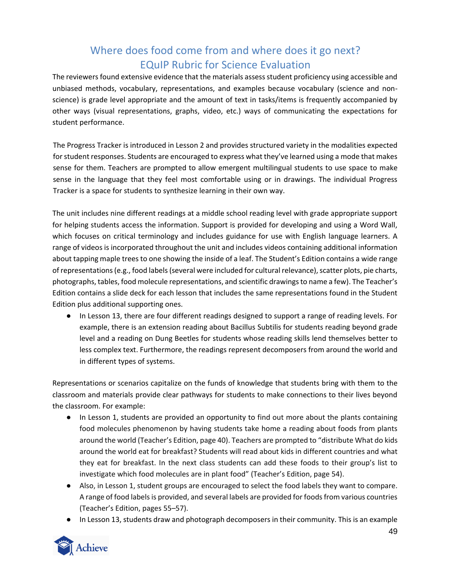The reviewers found extensive evidence that the materials assess student proficiency using accessible and unbiased methods, vocabulary, representations, and examples because vocabulary (science and nonscience) is grade level appropriate and the amount of text in tasks/items is frequently accompanied by other ways (visual representations, graphs, video, etc.) ways of communicating the expectations for student performance.

The Progress Tracker is introduced in Lesson 2 and provides structured variety in the modalities expected for student responses. Students are encouraged to express what they've learned using a mode that makes sense for them. Teachers are prompted to allow emergent multilingual students to use space to make sense in the language that they feel most comfortable using or in drawings. The individual Progress Tracker is a space for students to synthesize learning in their own way.

The unit includes nine different readings at a middle school reading level with grade appropriate support for helping students access the information. Support is provided for developing and using a Word Wall, which focuses on critical terminology and includes guidance for use with English language learners. A range of videos is incorporated throughout the unit and includes videos containing additional information about tapping maple trees to one showing the inside of a leaf. The Student's Edition contains a wide range of representations (e.g., food labels (several were included for cultural relevance), scatter plots, pie charts, photographs, tables, food molecule representations, and scientific drawings to name a few). The Teacher's Edition contains a slide deck for each lesson that includes the same representations found in the Student Edition plus additional supporting ones.

● In Lesson 13, there are four different readings designed to support a range of reading levels. For example, there is an extension reading about Bacillus Subtilis for students reading beyond grade level and a reading on Dung Beetles for students whose reading skills lend themselves better to less complex text. Furthermore, the readings represent decomposers from around the world and in different types of systems.

Representations or scenarios capitalize on the funds of knowledge that students bring with them to the classroom and materials provide clear pathways for students to make connections to their lives beyond the classroom. For example:

- In Lesson 1, students are provided an opportunity to find out more about the plants containing food molecules phenomenon by having students take home a reading about foods from plants around the world (Teacher's Edition, page 40). Teachers are prompted to "distribute What do kids around the world eat for breakfast? Students will read about kids in different countries and what they eat for breakfast. In the next class students can add these foods to their group's list to investigate which food molecules are in plant food" (Teacher's Edition, page 54).
- Also, in Lesson 1, student groups are encouraged to select the food labels they want to compare. A range of food labels is provided, and several labels are provided for foods from various countries (Teacher's Edition, pages 55*–*57).
- In Lesson 13, students draw and photograph decomposers in their community. This is an example

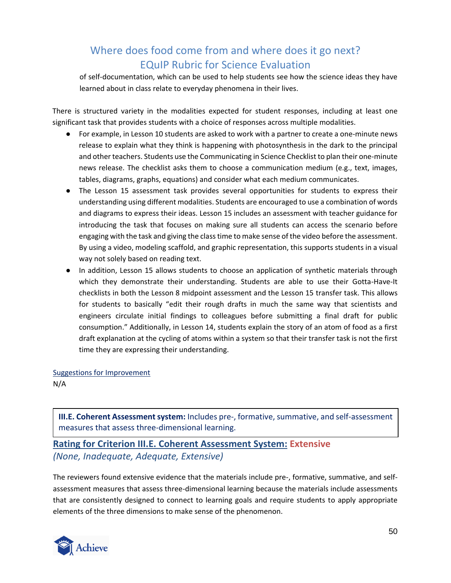of self-documentation, which can be used to help students see how the science ideas they have learned about in class relate to everyday phenomena in their lives.

There is structured variety in the modalities expected for student responses, including at least one significant task that provides students with a choice of responses across multiple modalities.

- For example, in Lesson 10 students are asked to work with a partner to create a one-minute news release to explain what they think is happening with photosynthesis in the dark to the principal and other teachers. Students use the Communicating in Science Checklist to plan their one-minute news release. The checklist asks them to choose a communication medium (e.g., text, images, tables, diagrams, graphs, equations) and consider what each medium communicates.
- The Lesson 15 assessment task provides several opportunities for students to express their understanding using different modalities. Students are encouraged to use a combination of words and diagrams to express their ideas. Lesson 15 includes an assessment with teacher guidance for introducing the task that focuses on making sure all students can access the scenario before engaging with the task and giving the class time to make sense of the video before the assessment. By using a video, modeling scaffold, and graphic representation, this supports students in a visual way not solely based on reading text.
- In addition, Lesson 15 allows students to choose an application of synthetic materials through which they demonstrate their understanding. Students are able to use their Gotta-Have-It checklists in both the Lesson 8 midpoint assessment and the Lesson 15 transfer task. This allows for students to basically "edit their rough drafts in much the same way that scientists and engineers circulate initial findings to colleagues before submitting a final draft for public consumption." Additionally, in Lesson 14, students explain the story of an atom of food as a first draft explanation at the cycling of atoms within a system so that their transfer task is not the first time they are expressing their understanding.

Suggestions for Improvement

N/A

**III.E. Coherent Assessment system:** Includes pre-, formative, summative, and self-assessment measures that assess three-dimensional learning.

### **Rating for Criterion III.E. Coherent Assessment System: Extensive** *(None, Inadequate, Adequate, Extensive)*

The reviewers found extensive evidence that the materials include pre-, formative, summative, and selfassessment measures that assess three-dimensional learning because the materials include assessments that are consistently designed to connect to learning goals and require students to apply appropriate elements of the three dimensions to make sense of the phenomenon.

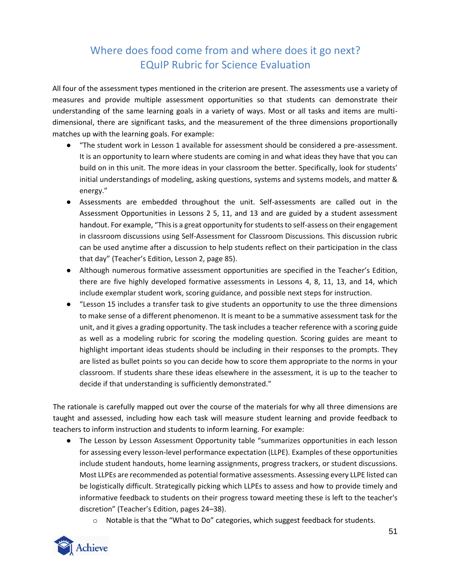All four of the assessment types mentioned in the criterion are present. The assessments use a variety of measures and provide multiple assessment opportunities so that students can demonstrate their understanding of the same learning goals in a variety of ways. Most or all tasks and items are multidimensional, there are significant tasks, and the measurement of the three dimensions proportionally matches up with the learning goals. For example:

- "The student work in Lesson 1 available for assessment should be considered a pre-assessment. It is an opportunity to learn where students are coming in and what ideas they have that you can build on in this unit. The more ideas in your classroom the better. Specifically, look for students' initial understandings of modeling, asking questions, systems and systems models, and matter & energy."
- Assessments are embedded throughout the unit. Self-assessments are called out in the Assessment Opportunities in Lessons 2 5, 11, and 13 and are guided by a student assessment handout. For example, "This is a great opportunity for students to self-assess on their engagement in classroom discussions using Self-Assessment for Classroom Discussions. This discussion rubric can be used anytime after a discussion to help students reflect on their participation in the class that day" (Teacher's Edition, Lesson 2, page 85).
- Although numerous formative assessment opportunities are specified in the Teacher's Edition, there are five highly developed formative assessments in Lessons 4, 8, 11, 13, and 14, which include exemplar student work, scoring guidance, and possible next steps for instruction.
- "Lesson 15 includes a transfer task to give students an opportunity to use the three dimensions to make sense of a different phenomenon. It is meant to be a summative assessment task for the unit, and it gives a grading opportunity. The task includes a teacher reference with a scoring guide as well as a modeling rubric for scoring the modeling question. Scoring guides are meant to highlight important ideas students should be including in their responses to the prompts. They are listed as bullet points so you can decide how to score them appropriate to the norms in your classroom. If students share these ideas elsewhere in the assessment, it is up to the teacher to decide if that understanding is sufficiently demonstrated."

The rationale is carefully mapped out over the course of the materials for why all three dimensions are taught and assessed, including how each task will measure student learning and provide feedback to teachers to inform instruction and students to inform learning. For example:

- The Lesson by Lesson Assessment Opportunity table "summarizes opportunities in each lesson for assessing every lesson-level performance expectation (LLPE). Examples of these opportunities include student handouts, home learning assignments, progress trackers, or student discussions. Most LLPEs are recommended as potential formative assessments. Assessing every LLPE listed can be logistically difficult. Strategically picking which LLPEs to assess and how to provide timely and informative feedback to students on their progress toward meeting these is left to the teacher's discretion" (Teacher's Edition, pages 24*–*38).
	- $\circ$  Notable is that the "What to Do" categories, which suggest feedback for students.

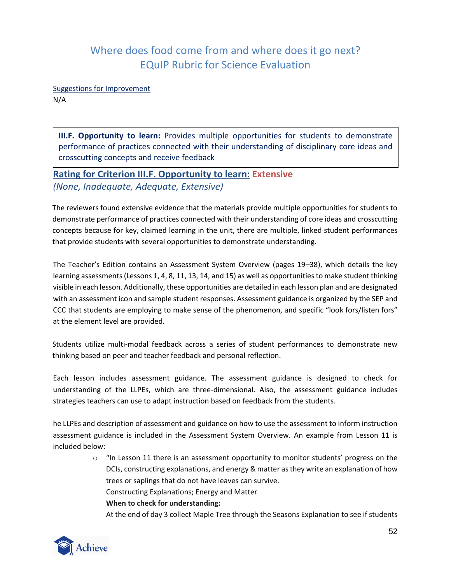Suggestions for Improvement

N/A

**III.F. Opportunity to learn:** Provides multiple opportunities for students to demonstrate performance of practices connected with their understanding of disciplinary core ideas and crosscutting concepts and receive feedback

## **Rating for Criterion III.F. Opportunity to learn: Extensive** *(None, Inadequate, Adequate, Extensive)*

The reviewers found extensive evidence that the materials provide multiple opportunities for students to demonstrate performance of practices connected with their understanding of core ideas and crosscutting concepts because for key, claimed learning in the unit, there are multiple, linked student performances that provide students with several opportunities to demonstrate understanding.

The Teacher's Edition contains an Assessment System Overview (pages 19*–*38), which details the key learning assessments (Lessons 1, 4, 8, 11, 13, 14, and 15) as well as opportunities to make student thinking visible in each lesson. Additionally, these opportunities are detailed in each lesson plan and are designated with an assessment icon and sample student responses. Assessment guidance is organized by the SEP and CCC that students are employing to make sense of the phenomenon, and specific "look fors/listen fors" at the element level are provided.

Students utilize multi-modal feedback across a series of student performances to demonstrate new thinking based on peer and teacher feedback and personal reflection.

Each lesson includes assessment guidance. The assessment guidance is designed to check for understanding of the LLPEs, which are three-dimensional. Also, the assessment guidance includes strategies teachers can use to adapt instruction based on feedback from the students.

he LLPEs and description of assessment and guidance on how to use the assessment to inform instruction assessment guidance is included in the Assessment System Overview. An example from Lesson 11 is included below:

> $\circ$  "In Lesson 11 there is an assessment opportunity to monitor students' progress on the DCIs, constructing explanations, and energy & matter as they write an explanation of how trees or saplings that do not have leaves can survive. Constructing Explanations; Energy and Matter **When to check for understanding:**

At the end of day 3 collect Maple Tree through the Seasons Explanation to see if students

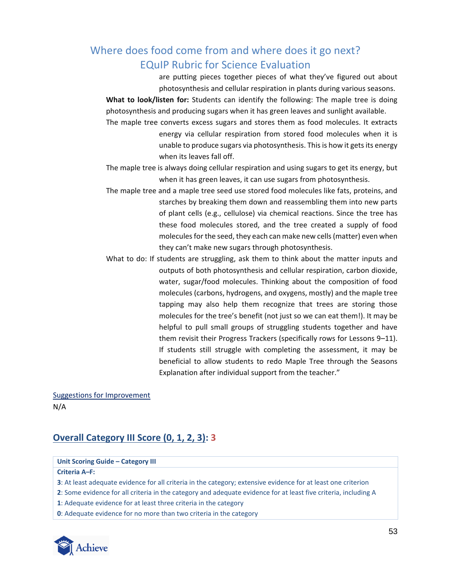are putting pieces together pieces of what they've figured out about photosynthesis and cellular respiration in plants during various seasons.

**What to look/listen for:** Students can identify the following: The maple tree is doing photosynthesis and producing sugars when it has green leaves and sunlight available.

The maple tree converts excess sugars and stores them as food molecules. It extracts energy via cellular respiration from stored food molecules when it is unable to produce sugars via photosynthesis. This is how it gets its energy when its leaves fall off.

The maple tree is always doing cellular respiration and using sugars to get its energy, but when it has green leaves, it can use sugars from photosynthesis.

- The maple tree and a maple tree seed use stored food molecules like fats, proteins, and starches by breaking them down and reassembling them into new parts of plant cells (e.g., cellulose) via chemical reactions. Since the tree has these food molecules stored, and the tree created a supply of food molecules for the seed, they each can make new cells (matter) even when they can't make new sugars through photosynthesis.
- What to do: If students are struggling, ask them to think about the matter inputs and outputs of both photosynthesis and cellular respiration, carbon dioxide, water, sugar/food molecules. Thinking about the composition of food molecules (carbons, hydrogens, and oxygens, mostly) and the maple tree tapping may also help them recognize that trees are storing those molecules for the tree's benefit (not just so we can eat them!). It may be helpful to pull small groups of struggling students together and have them revisit their Progress Trackers (specifically rows for Lessons 9*–*11). If students still struggle with completing the assessment, it may be beneficial to allow students to redo Maple Tree through the Seasons Explanation after individual support from the teacher."

Suggestions for Improvement N/A

## **Overall Category III Score (0, 1, 2, 3): 3**

### **Unit Scoring Guide – Category III**

**Criteria A***–***F:**

**3**: At least adequate evidence for all criteria in the category; extensive evidence for at least one criterion

**2**: Some evidence for all criteria in the category and adequate evidence for at least five criteria, including A

**1**: Adequate evidence for at least three criteria in the category

**0**: Adequate evidence for no more than two criteria in the category